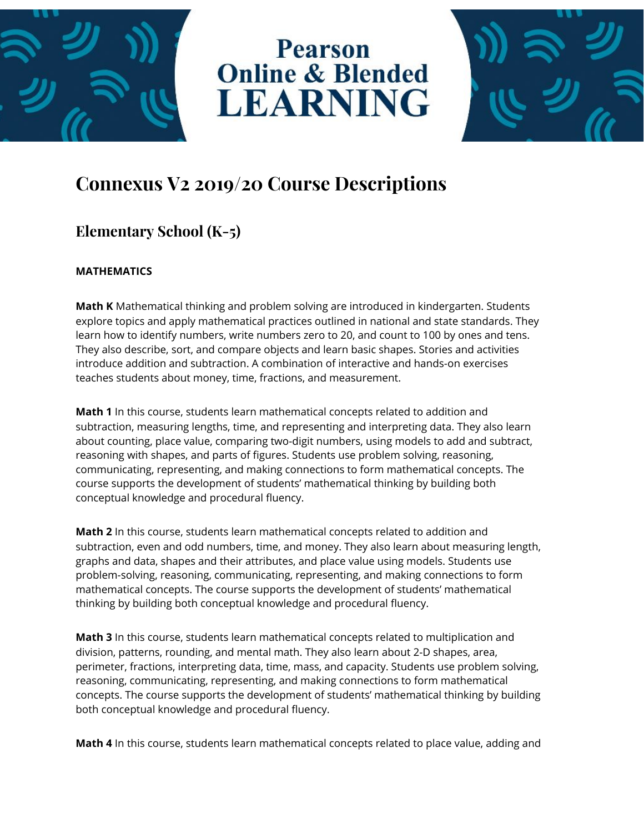

# **Pearson Online & Blended LEARNING**



# **Connexus V2 2019/20 Course Descriptions**

# **Elementary School (K-5)**

#### **MATHEMATICS**

**Math K** Mathematical thinking and problem solving are introduced in kindergarten. Students explore topics and apply mathematical practices outlined in national and state standards. They learn how to identify numbers, write numbers zero to 20, and count to 100 by ones and tens. They also describe, sort, and compare objects and learn basic shapes. Stories and activities introduce addition and subtraction. A combination of interactive and hands-on exercises teaches students about money, time, fractions, and measurement.

**Math 1** In this course, students learn mathematical concepts related to addition and subtraction, measuring lengths, time, and representing and interpreting data. They also learn about counting, place value, comparing two-digit numbers, using models to add and subtract, reasoning with shapes, and parts of figures. Students use problem solving, reasoning, communicating, representing, and making connections to form mathematical concepts. The course supports the development of students' mathematical thinking by building both conceptual knowledge and procedural fluency.

**Math 2** In this course, students learn mathematical concepts related to addition and subtraction, even and odd numbers, time, and money. They also learn about measuring length, graphs and data, shapes and their attributes, and place value using models. Students use problem-solving, reasoning, communicating, representing, and making connections to form mathematical concepts. The course supports the development of students' mathematical thinking by building both conceptual knowledge and procedural fluency.

**Math 3** In this course, students learn mathematical concepts related to multiplication and division, patterns, rounding, and mental math. They also learn about 2-D shapes, area, perimeter, fractions, interpreting data, time, mass, and capacity. Students use problem solving, reasoning, communicating, representing, and making connections to form mathematical concepts. The course supports the development of students' mathematical thinking by building both conceptual knowledge and procedural fluency.

**Math 4** In this course, students learn mathematical concepts related to place value, adding and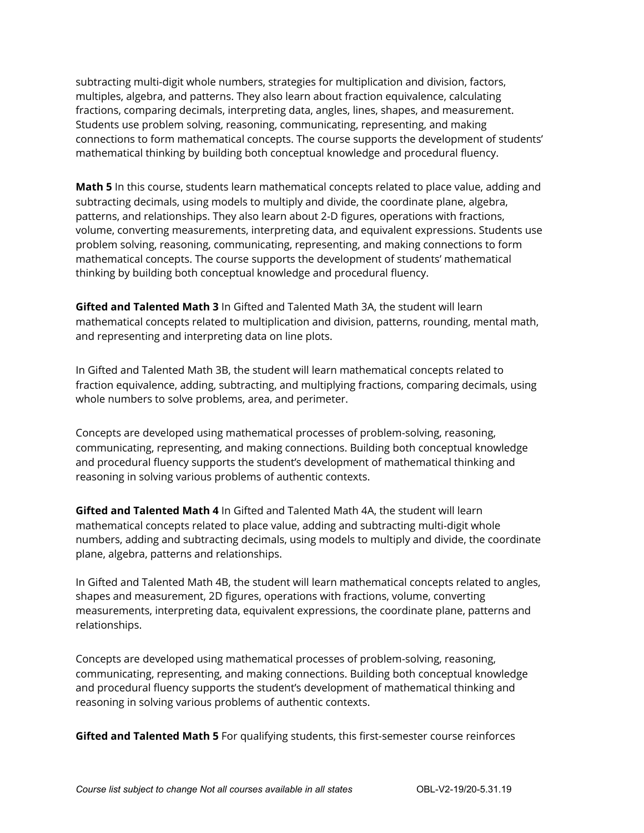subtracting multi-digit whole numbers, strategies for multiplication and division, factors, multiples, algebra, and patterns. They also learn about fraction equivalence, calculating fractions, comparing decimals, interpreting data, angles, lines, shapes, and measurement. Students use problem solving, reasoning, communicating, representing, and making connections to form mathematical concepts. The course supports the development of students' mathematical thinking by building both conceptual knowledge and procedural fluency.

**Math 5** In this course, students learn mathematical concepts related to place value, adding and subtracting decimals, using models to multiply and divide, the coordinate plane, algebra, patterns, and relationships. They also learn about 2-D figures, operations with fractions, volume, converting measurements, interpreting data, and equivalent expressions. Students use problem solving, reasoning, communicating, representing, and making connections to form mathematical concepts. The course supports the development of students' mathematical thinking by building both conceptual knowledge and procedural fluency.

**Gifted and Talented Math 3** In Gifted and Talented Math 3A, the student will learn mathematical concepts related to multiplication and division, patterns, rounding, mental math, and representing and interpreting data on line plots.

In Gifted and Talented Math 3B, the student will learn mathematical concepts related to fraction equivalence, adding, subtracting, and multiplying fractions, comparing decimals, using whole numbers to solve problems, area, and perimeter.

Concepts are developed using mathematical processes of problem-solving, reasoning, communicating, representing, and making connections. Building both conceptual knowledge and procedural fluency supports the student's development of mathematical thinking and reasoning in solving various problems of authentic contexts.

**Gifted and Talented Math 4** In Gifted and Talented Math 4A, the student will learn mathematical concepts related to place value, adding and subtracting multi-digit whole numbers, adding and subtracting decimals, using models to multiply and divide, the coordinate plane, algebra, patterns and relationships.

In Gifted and Talented Math 4B, the student will learn mathematical concepts related to angles, shapes and measurement, 2D figures, operations with fractions, volume, converting measurements, interpreting data, equivalent expressions, the coordinate plane, patterns and relationships.

Concepts are developed using mathematical processes of problem-solving, reasoning, communicating, representing, and making connections. Building both conceptual knowledge and procedural fluency supports the student's development of mathematical thinking and reasoning in solving various problems of authentic contexts.

**Gifted and Talented Math 5** For qualifying students, this first-semester course reinforces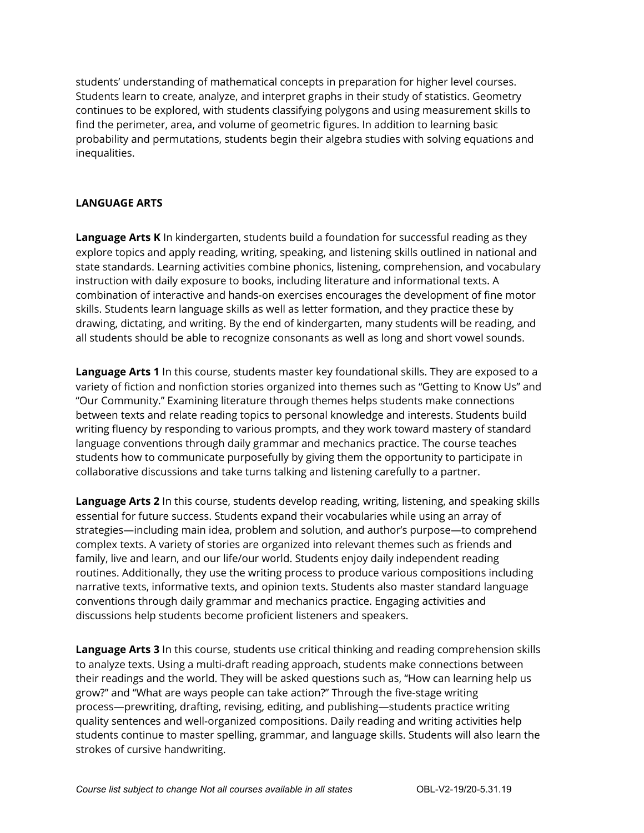students' understanding of mathematical concepts in preparation for higher level courses. Students learn to create, analyze, and interpret graphs in their study of statistics. Geometry continues to be explored, with students classifying polygons and using measurement skills to find the perimeter, area, and volume of geometric figures. In addition to learning basic probability and permutations, students begin their algebra studies with solving equations and inequalities.

#### **LANGUAGE ARTS**

**Language Arts K** In kindergarten, students build a foundation for successful reading as they explore topics and apply reading, writing, speaking, and listening skills outlined in national and state standards. Learning activities combine phonics, listening, comprehension, and vocabulary instruction with daily exposure to books, including literature and informational texts. A combination of interactive and hands-on exercises encourages the development of fine motor skills. Students learn language skills as well as letter formation, and they practice these by drawing, dictating, and writing. By the end of kindergarten, many students will be reading, and all students should be able to recognize consonants as well as long and short vowel sounds.

**Language Arts 1** In this course, students master key foundational skills. They are exposed to a variety of fiction and nonfiction stories organized into themes such as "Getting to Know Us" and "Our Community." Examining literature through themes helps students make connections between texts and relate reading topics to personal knowledge and interests. Students build writing fluency by responding to various prompts, and they work toward mastery of standard language conventions through daily grammar and mechanics practice. The course teaches students how to communicate purposefully by giving them the opportunity to participate in collaborative discussions and take turns talking and listening carefully to a partner.

**Language Arts 2** In this course, students develop reading, writing, listening, and speaking skills essential for future success. Students expand their vocabularies while using an array of strategies—including main idea, problem and solution, and author's purpose—to comprehend complex texts. A variety of stories are organized into relevant themes such as friends and family, live and learn, and our life/our world. Students enjoy daily independent reading routines. Additionally, they use the writing process to produce various compositions including narrative texts, informative texts, and opinion texts. Students also master standard language conventions through daily grammar and mechanics practice. Engaging activities and discussions help students become proficient listeners and speakers.

**Language Arts 3** In this course, students use critical thinking and reading comprehension skills to analyze texts. Using a multi-draft reading approach, students make connections between their readings and the world. They will be asked questions such as, "How can learning help us grow?" and "What are ways people can take action?" Through the five-stage writing process—prewriting, drafting, revising, editing, and publishing—students practice writing quality sentences and well-organized compositions. Daily reading and writing activities help students continue to master spelling, grammar, and language skills. Students will also learn the strokes of cursive handwriting.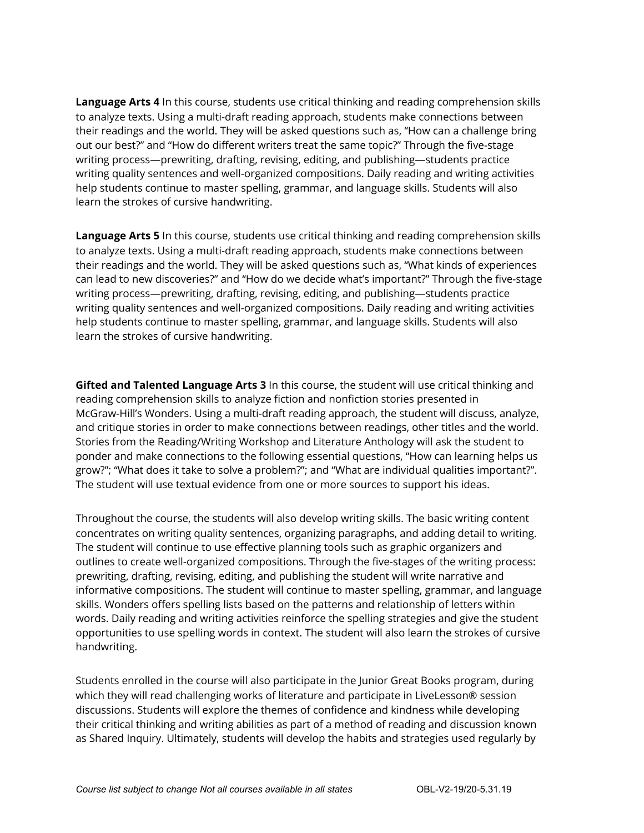**Language Arts 4** In this course, students use critical thinking and reading comprehension skills to analyze texts. Using a multi-draft reading approach, students make connections between their readings and the world. They will be asked questions such as, "How can a challenge bring out our best?" and "How do different writers treat the same topic?" Through the five-stage writing process—prewriting, drafting, revising, editing, and publishing—students practice writing quality sentences and well-organized compositions. Daily reading and writing activities help students continue to master spelling, grammar, and language skills. Students will also learn the strokes of cursive handwriting.

**Language Arts 5** In this course, students use critical thinking and reading comprehension skills to analyze texts. Using a multi-draft reading approach, students make connections between their readings and the world. They will be asked questions such as, "What kinds of experiences can lead to new discoveries?" and "How do we decide what's important?" Through the five-stage writing process—prewriting, drafting, revising, editing, and publishing—students practice writing quality sentences and well-organized compositions. Daily reading and writing activities help students continue to master spelling, grammar, and language skills. Students will also learn the strokes of cursive handwriting.

**Gifted and Talented Language Arts 3** In this course, the student will use critical thinking and reading comprehension skills to analyze fiction and nonfiction stories presented in McGraw-Hill's Wonders. Using a multi-draft reading approach, the student will discuss, analyze, and critique stories in order to make connections between readings, other titles and the world. Stories from the Reading/Writing Workshop and Literature Anthology will ask the student to ponder and make connections to the following essential questions, "How can learning helps us grow?"; "What does it take to solve a problem?"; and "What are individual qualities important?". The student will use textual evidence from one or more sources to support his ideas.

Throughout the course, the students will also develop writing skills. The basic writing content concentrates on writing quality sentences, organizing paragraphs, and adding detail to writing. The student will continue to use effective planning tools such as graphic organizers and outlines to create well-organized compositions. Through the five-stages of the writing process: prewriting, drafting, revising, editing, and publishing the student will write narrative and informative compositions. The student will continue to master spelling, grammar, and language skills. Wonders offers spelling lists based on the patterns and relationship of letters within words. Daily reading and writing activities reinforce the spelling strategies and give the student opportunities to use spelling words in context. The student will also learn the strokes of cursive handwriting.

Students enrolled in the course will also participate in the Junior Great Books program, during which they will read challenging works of literature and participate in LiveLesson® session discussions. Students will explore the themes of confidence and kindness while developing their critical thinking and writing abilities as part of a method of reading and discussion known as Shared Inquiry. Ultimately, students will develop the habits and strategies used regularly by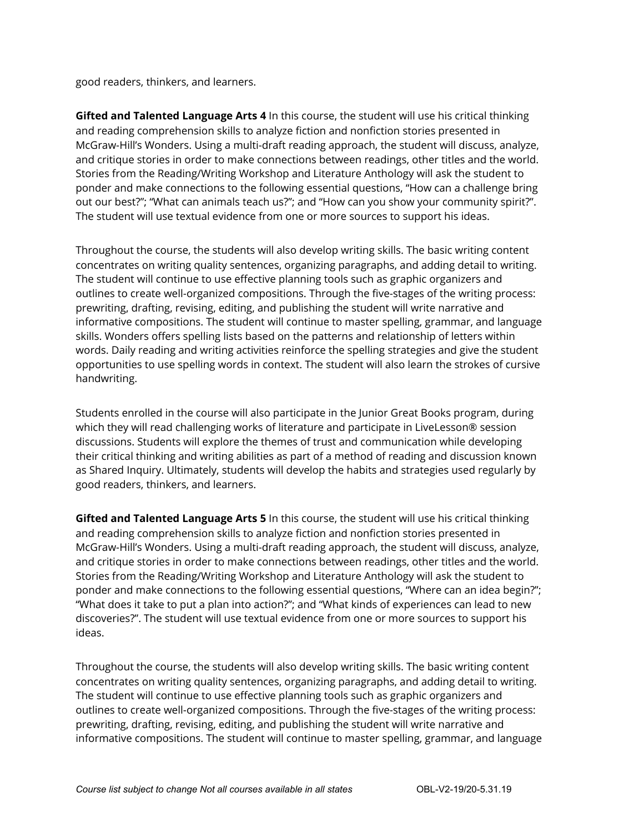good readers, thinkers, and learners.

**Gifted and Talented Language Arts 4** In this course, the student will use his critical thinking and reading comprehension skills to analyze fiction and nonfiction stories presented in McGraw-Hill's Wonders. Using a multi-draft reading approach, the student will discuss, analyze, and critique stories in order to make connections between readings, other titles and the world. Stories from the Reading/Writing Workshop and Literature Anthology will ask the student to ponder and make connections to the following essential questions, "How can a challenge bring out our best?"; "What can animals teach us?"; and "How can you show your community spirit?". The student will use textual evidence from one or more sources to support his ideas.

Throughout the course, the students will also develop writing skills. The basic writing content concentrates on writing quality sentences, organizing paragraphs, and adding detail to writing. The student will continue to use effective planning tools such as graphic organizers and outlines to create well-organized compositions. Through the five-stages of the writing process: prewriting, drafting, revising, editing, and publishing the student will write narrative and informative compositions. The student will continue to master spelling, grammar, and language skills. Wonders offers spelling lists based on the patterns and relationship of letters within words. Daily reading and writing activities reinforce the spelling strategies and give the student opportunities to use spelling words in context. The student will also learn the strokes of cursive handwriting.

Students enrolled in the course will also participate in the Junior Great Books program, during which they will read challenging works of literature and participate in LiveLesson® session discussions. Students will explore the themes of trust and communication while developing their critical thinking and writing abilities as part of a method of reading and discussion known as Shared Inquiry. Ultimately, students will develop the habits and strategies used regularly by good readers, thinkers, and learners.

**Gifted and Talented Language Arts 5** In this course, the student will use his critical thinking and reading comprehension skills to analyze fiction and nonfiction stories presented in McGraw-Hill's Wonders. Using a multi-draft reading approach, the student will discuss, analyze, and critique stories in order to make connections between readings, other titles and the world. Stories from the Reading/Writing Workshop and Literature Anthology will ask the student to ponder and make connections to the following essential questions, "Where can an idea begin?"; "What does it take to put a plan into action?"; and "What kinds of experiences can lead to new discoveries?". The student will use textual evidence from one or more sources to support his ideas.

Throughout the course, the students will also develop writing skills. The basic writing content concentrates on writing quality sentences, organizing paragraphs, and adding detail to writing. The student will continue to use effective planning tools such as graphic organizers and outlines to create well-organized compositions. Through the five-stages of the writing process: prewriting, drafting, revising, editing, and publishing the student will write narrative and informative compositions. The student will continue to master spelling, grammar, and language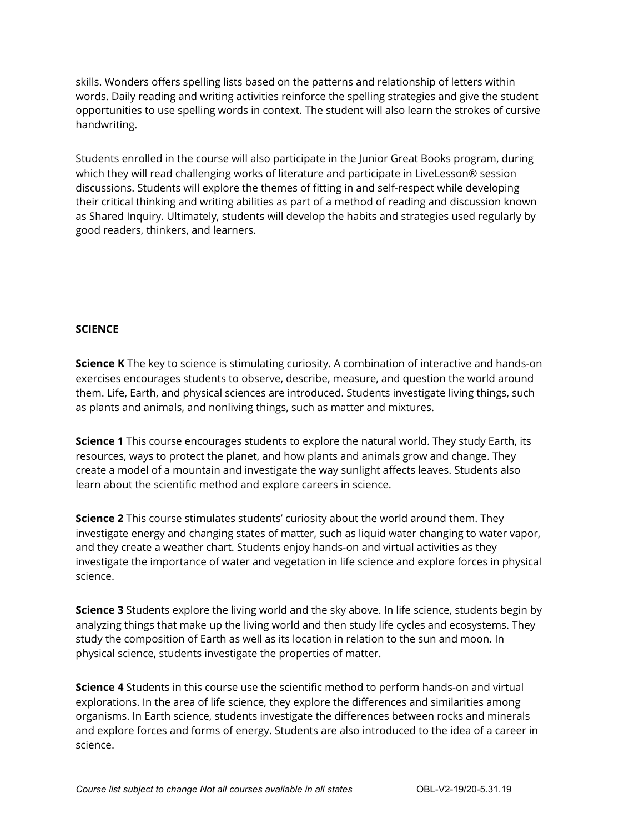skills. Wonders offers spelling lists based on the patterns and relationship of letters within words. Daily reading and writing activities reinforce the spelling strategies and give the student opportunities to use spelling words in context. The student will also learn the strokes of cursive handwriting.

Students enrolled in the course will also participate in the Junior Great Books program, during which they will read challenging works of literature and participate in LiveLesson® session discussions. Students will explore the themes of fitting in and self-respect while developing their critical thinking and writing abilities as part of a method of reading and discussion known as Shared Inquiry. Ultimately, students will develop the habits and strategies used regularly by good readers, thinkers, and learners.

#### **SCIENCE**

**Science K** The key to science is stimulating curiosity. A combination of interactive and hands-on exercises encourages students to observe, describe, measure, and question the world around them. Life, Earth, and physical sciences are introduced. Students investigate living things, such as plants and animals, and nonliving things, such as matter and mixtures.

**Science 1** This course encourages students to explore the natural world. They study Earth, its resources, ways to protect the planet, and how plants and animals grow and change. They create a model of a mountain and investigate the way sunlight affects leaves. Students also learn about the scientific method and explore careers in science.

**Science 2** This course stimulates students' curiosity about the world around them. They investigate energy and changing states of matter, such as liquid water changing to water vapor, and they create a weather chart. Students enjoy hands-on and virtual activities as they investigate the importance of water and vegetation in life science and explore forces in physical science.

**Science 3** Students explore the living world and the sky above. In life science, students begin by analyzing things that make up the living world and then study life cycles and ecosystems. They study the composition of Earth as well as its location in relation to the sun and moon. In physical science, students investigate the properties of matter.

**Science 4** Students in this course use the scientific method to perform hands-on and virtual explorations. In the area of life science, they explore the differences and similarities among organisms. In Earth science, students investigate the differences between rocks and minerals and explore forces and forms of energy. Students are also introduced to the idea of a career in science.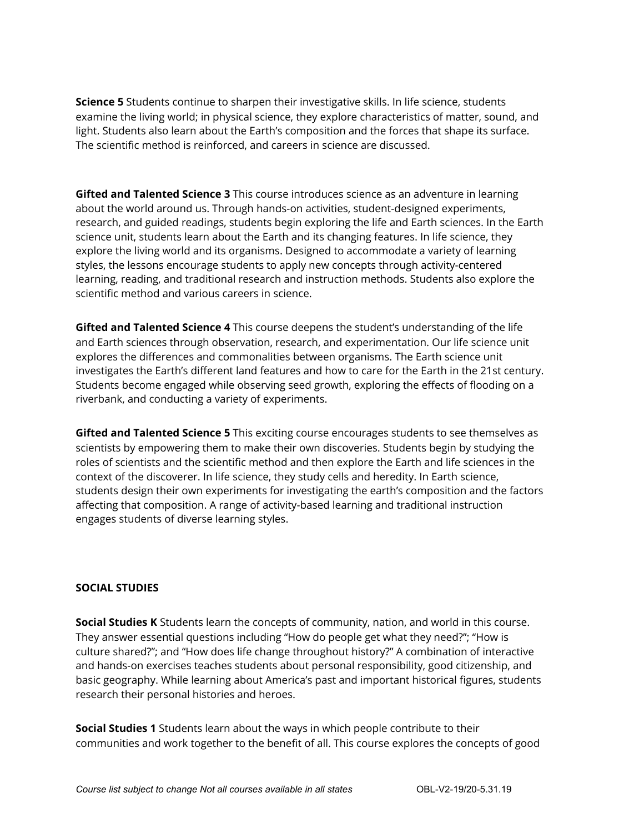**Science 5** Students continue to sharpen their investigative skills. In life science, students examine the living world; in physical science, they explore characteristics of matter, sound, and light. Students also learn about the Earth's composition and the forces that shape its surface. The scientific method is reinforced, and careers in science are discussed.

**Gifted and Talented Science 3** This course introduces science as an adventure in learning about the world around us. Through hands-on activities, student-designed experiments, research, and guided readings, students begin exploring the life and Earth sciences. In the Earth science unit, students learn about the Earth and its changing features. In life science, they explore the living world and its organisms. Designed to accommodate a variety of learning styles, the lessons encourage students to apply new concepts through activity-centered learning, reading, and traditional research and instruction methods. Students also explore the scientific method and various careers in science.

**Gifted and Talented Science 4** This course deepens the student's understanding of the life and Earth sciences through observation, research, and experimentation. Our life science unit explores the differences and commonalities between organisms. The Earth science unit investigates the Earth's different land features and how to care for the Earth in the 21st century. Students become engaged while observing seed growth, exploring the effects of flooding on a riverbank, and conducting a variety of experiments.

**Gifted and Talented Science 5** This exciting course encourages students to see themselves as scientists by empowering them to make their own discoveries. Students begin by studying the roles of scientists and the scientific method and then explore the Earth and life sciences in the context of the discoverer. In life science, they study cells and heredity. In Earth science, students design their own experiments for investigating the earth's composition and the factors affecting that composition. A range of activity-based learning and traditional instruction engages students of diverse learning styles.

#### **SOCIAL STUDIES**

**Social Studies K** Students learn the concepts of community, nation, and world in this course. They answer essential questions including "How do people get what they need?"; "How is culture shared?"; and "How does life change throughout history?" A combination of interactive and hands-on exercises teaches students about personal responsibility, good citizenship, and basic geography. While learning about America's past and important historical figures, students research their personal histories and heroes.

**Social Studies 1** Students learn about the ways in which people contribute to their communities and work together to the benefit of all. This course explores the concepts of good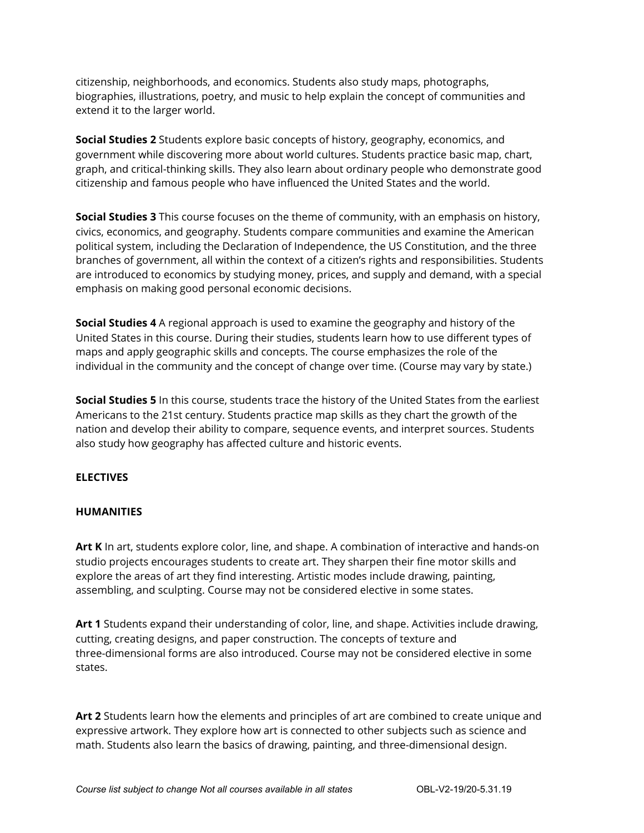citizenship, neighborhoods, and economics. Students also study maps, photographs, biographies, illustrations, poetry, and music to help explain the concept of communities and extend it to the larger world.

**Social Studies 2** Students explore basic concepts of history, geography, economics, and government while discovering more about world cultures. Students practice basic map, chart, graph, and critical-thinking skills. They also learn about ordinary people who demonstrate good citizenship and famous people who have influenced the United States and the world.

**Social Studies 3** This course focuses on the theme of community, with an emphasis on history, civics, economics, and geography. Students compare communities and examine the American political system, including the Declaration of Independence, the US Constitution, and the three branches of government, all within the context of a citizen's rights and responsibilities. Students are introduced to economics by studying money, prices, and supply and demand, with a special emphasis on making good personal economic decisions.

**Social Studies 4** A regional approach is used to examine the geography and history of the United States in this course. During their studies, students learn how to use different types of maps and apply geographic skills and concepts. The course emphasizes the role of the individual in the community and the concept of change over time. (Course may vary by state.)

**Social Studies 5** In this course, students trace the history of the United States from the earliest Americans to the 21st century. Students practice map skills as they chart the growth of the nation and develop their ability to compare, sequence events, and interpret sources. Students also study how geography has affected culture and historic events.

#### **ELECTIVES**

#### **HUMANITIES**

**Art K** In art, students explore color, line, and shape. A combination of interactive and hands-on studio projects encourages students to create art. They sharpen their fine motor skills and explore the areas of art they find interesting. Artistic modes include drawing, painting, assembling, and sculpting. Course may not be considered elective in some states.

**Art 1** Students expand their understanding of color, line, and shape. Activities include drawing, cutting, creating designs, and paper construction. The concepts of texture and three-dimensional forms are also introduced. Course may not be considered elective in some states.

**Art 2** Students learn how the elements and principles of art are combined to create unique and expressive artwork. They explore how art is connected to other subjects such as science and math. Students also learn the basics of drawing, painting, and three-dimensional design.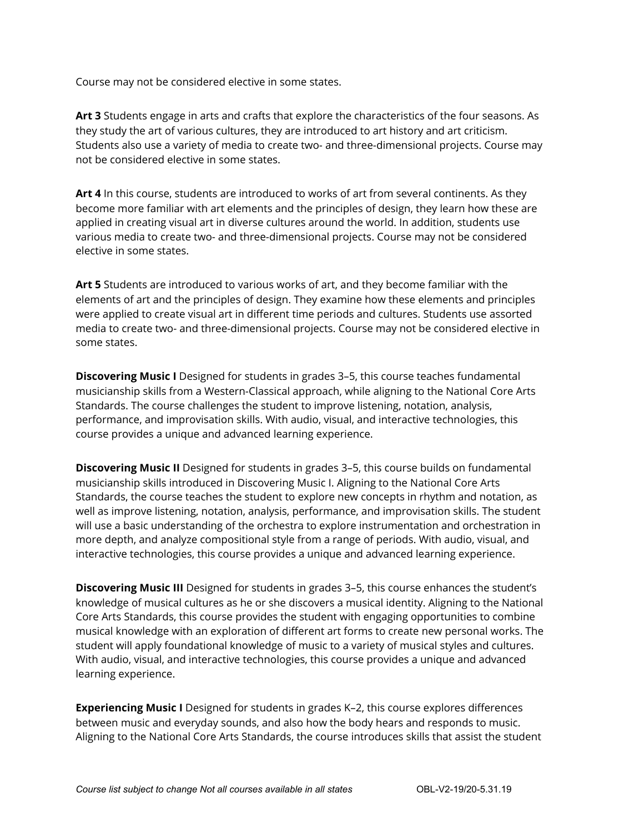Course may not be considered elective in some states.

**Art 3** Students engage in arts and crafts that explore the characteristics of the four seasons. As they study the art of various cultures, they are introduced to art history and art criticism. Students also use a variety of media to create two- and three-dimensional projects. Course may not be considered elective in some states.

**Art 4** In this course, students are introduced to works of art from several continents. As they become more familiar with art elements and the principles of design, they learn how these are applied in creating visual art in diverse cultures around the world. In addition, students use various media to create two- and three-dimensional projects. Course may not be considered elective in some states.

**Art 5** Students are introduced to various works of art, and they become familiar with the elements of art and the principles of design. They examine how these elements and principles were applied to create visual art in different time periods and cultures. Students use assorted media to create two- and three-dimensional projects. Course may not be considered elective in some states.

**Discovering Music I** Designed for students in grades 3–5, this course teaches fundamental musicianship skills from a Western-Classical approach, while aligning to the National Core Arts Standards. The course challenges the student to improve listening, notation, analysis, performance, and improvisation skills. With audio, visual, and interactive technologies, this course provides a unique and advanced learning experience.

**Discovering Music II** Designed for students in grades 3–5, this course builds on fundamental musicianship skills introduced in Discovering Music I. Aligning to the National Core Arts Standards, the course teaches the student to explore new concepts in rhythm and notation, as well as improve listening, notation, analysis, performance, and improvisation skills. The student will use a basic understanding of the orchestra to explore instrumentation and orchestration in more depth, and analyze compositional style from a range of periods. With audio, visual, and interactive technologies, this course provides a unique and advanced learning experience.

**Discovering Music III** Designed for students in grades 3–5, this course enhances the student's knowledge of musical cultures as he or she discovers a musical identity. Aligning to the National Core Arts Standards, this course provides the student with engaging opportunities to combine musical knowledge with an exploration of different art forms to create new personal works. The student will apply foundational knowledge of music to a variety of musical styles and cultures. With audio, visual, and interactive technologies, this course provides a unique and advanced learning experience.

**Experiencing Music I** Designed for students in grades K–2, this course explores differences between music and everyday sounds, and also how the body hears and responds to music. Aligning to the National Core Arts Standards, the course introduces skills that assist the student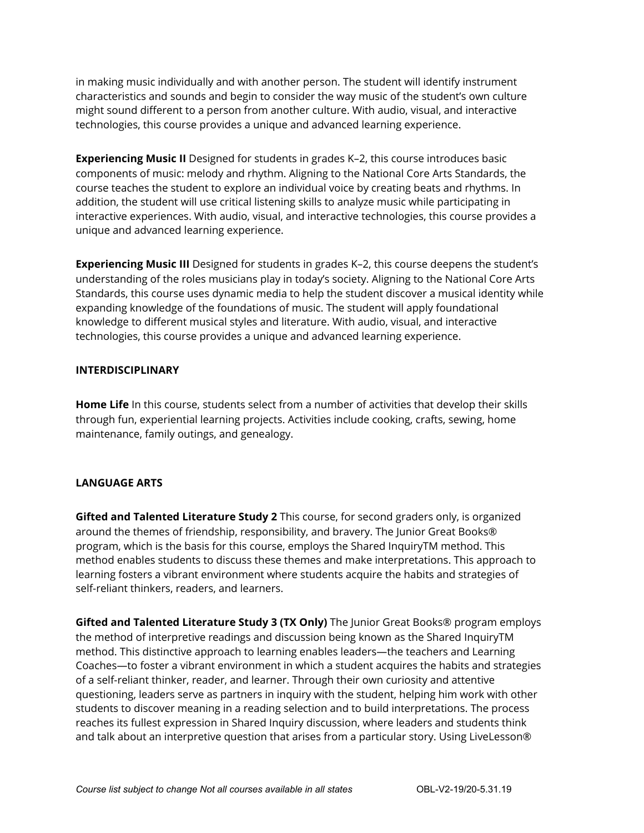in making music individually and with another person. The student will identify instrument characteristics and sounds and begin to consider the way music of the student's own culture might sound different to a person from another culture. With audio, visual, and interactive technologies, this course provides a unique and advanced learning experience.

**Experiencing Music II** Designed for students in grades K–2, this course introduces basic components of music: melody and rhythm. Aligning to the National Core Arts Standards, the course teaches the student to explore an individual voice by creating beats and rhythms. In addition, the student will use critical listening skills to analyze music while participating in interactive experiences. With audio, visual, and interactive technologies, this course provides a unique and advanced learning experience.

**Experiencing Music III** Designed for students in grades K–2, this course deepens the student's understanding of the roles musicians play in today's society. Aligning to the National Core Arts Standards, this course uses dynamic media to help the student discover a musical identity while expanding knowledge of the foundations of music. The student will apply foundational knowledge to different musical styles and literature. With audio, visual, and interactive technologies, this course provides a unique and advanced learning experience.

#### **INTERDISCIPLINARY**

**Home Life** In this course, students select from a number of activities that develop their skills through fun, experiential learning projects. Activities include cooking, crafts, sewing, home maintenance, family outings, and genealogy.

#### **LANGUAGE ARTS**

**Gifted and Talented Literature Study 2** This course, for second graders only, is organized around the themes of friendship, responsibility, and bravery. The Junior Great Books® program, which is the basis for this course, employs the Shared InquiryTM method. This method enables students to discuss these themes and make interpretations. This approach to learning fosters a vibrant environment where students acquire the habits and strategies of self-reliant thinkers, readers, and learners.

**Gifted and Talented Literature Study 3 (TX Only)** The Junior Great Books® program employs the method of interpretive readings and discussion being known as the Shared InquiryTM method. This distinctive approach to learning enables leaders—the teachers and Learning Coaches—to foster a vibrant environment in which a student acquires the habits and strategies of a self-reliant thinker, reader, and learner. Through their own curiosity and attentive questioning, leaders serve as partners in inquiry with the student, helping him work with other students to discover meaning in a reading selection and to build interpretations. The process reaches its fullest expression in Shared Inquiry discussion, where leaders and students think and talk about an interpretive question that arises from a particular story. Using LiveLesson®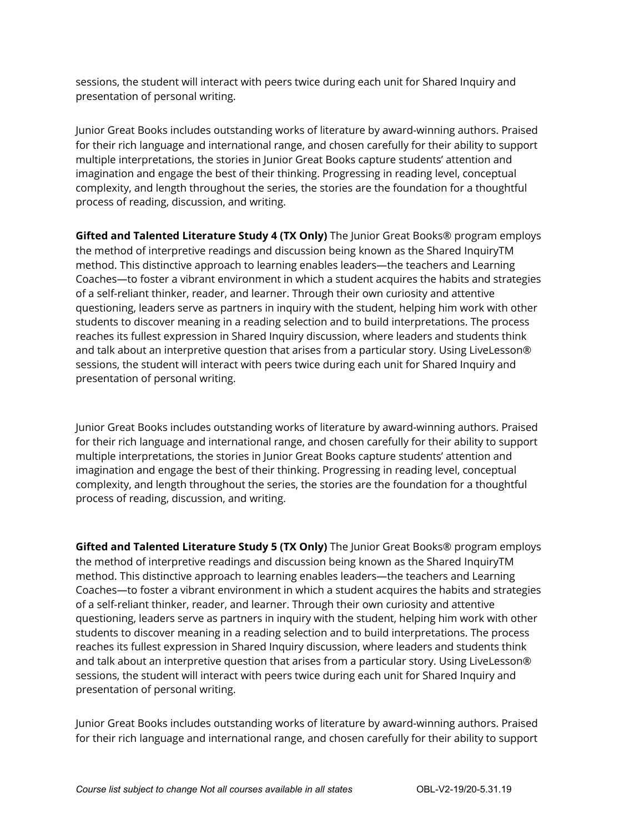sessions, the student will interact with peers twice during each unit for Shared Inquiry and presentation of personal writing.

Junior Great Books includes outstanding works of literature by award-winning authors. Praised for their rich language and international range, and chosen carefully for their ability to support multiple interpretations, the stories in Junior Great Books capture students' attention and imagination and engage the best of their thinking. Progressing in reading level, conceptual complexity, and length throughout the series, the stories are the foundation for a thoughtful process of reading, discussion, and writing.

**Gifted and Talented Literature Study 4 (TX Only)** The Junior Great Books® program employs the method of interpretive readings and discussion being known as the Shared InquiryTM method. This distinctive approach to learning enables leaders—the teachers and Learning Coaches—to foster a vibrant environment in which a student acquires the habits and strategies of a self-reliant thinker, reader, and learner. Through their own curiosity and attentive questioning, leaders serve as partners in inquiry with the student, helping him work with other students to discover meaning in a reading selection and to build interpretations. The process reaches its fullest expression in Shared Inquiry discussion, where leaders and students think and talk about an interpretive question that arises from a particular story. Using LiveLesson® sessions, the student will interact with peers twice during each unit for Shared Inquiry and presentation of personal writing.

Junior Great Books includes outstanding works of literature by award-winning authors. Praised for their rich language and international range, and chosen carefully for their ability to support multiple interpretations, the stories in Junior Great Books capture students' attention and imagination and engage the best of their thinking. Progressing in reading level, conceptual complexity, and length throughout the series, the stories are the foundation for a thoughtful process of reading, discussion, and writing.

**Gifted and Talented Literature Study 5 (TX Only)** The Junior Great Books® program employs the method of interpretive readings and discussion being known as the Shared InquiryTM method. This distinctive approach to learning enables leaders—the teachers and Learning Coaches—to foster a vibrant environment in which a student acquires the habits and strategies of a self-reliant thinker, reader, and learner. Through their own curiosity and attentive questioning, leaders serve as partners in inquiry with the student, helping him work with other students to discover meaning in a reading selection and to build interpretations. The process reaches its fullest expression in Shared Inquiry discussion, where leaders and students think and talk about an interpretive question that arises from a particular story. Using LiveLesson® sessions, the student will interact with peers twice during each unit for Shared Inquiry and presentation of personal writing.

Junior Great Books includes outstanding works of literature by award-winning authors. Praised for their rich language and international range, and chosen carefully for their ability to support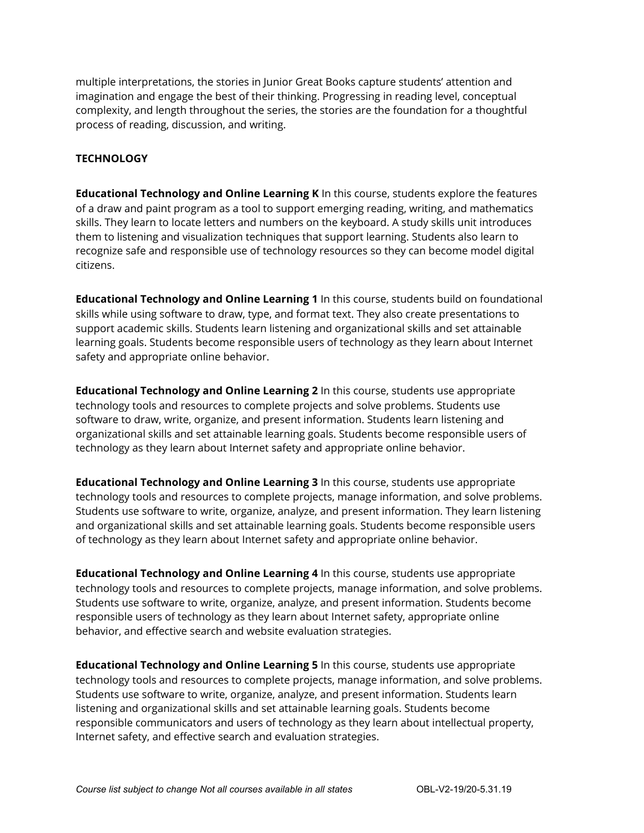multiple interpretations, the stories in Junior Great Books capture students' attention and imagination and engage the best of their thinking. Progressing in reading level, conceptual complexity, and length throughout the series, the stories are the foundation for a thoughtful process of reading, discussion, and writing.

#### **TECHNOLOGY**

**Educational Technology and Online Learning K** In this course, students explore the features of a draw and paint program as a tool to support emerging reading, writing, and mathematics skills. They learn to locate letters and numbers on the keyboard. A study skills unit introduces them to listening and visualization techniques that support learning. Students also learn to recognize safe and responsible use of technology resources so they can become model digital citizens.

**Educational Technology and Online Learning 1** In this course, students build on foundational skills while using software to draw, type, and format text. They also create presentations to support academic skills. Students learn listening and organizational skills and set attainable learning goals. Students become responsible users of technology as they learn about Internet safety and appropriate online behavior.

**Educational Technology and Online Learning 2** In this course, students use appropriate technology tools and resources to complete projects and solve problems. Students use software to draw, write, organize, and present information. Students learn listening and organizational skills and set attainable learning goals. Students become responsible users of technology as they learn about Internet safety and appropriate online behavior.

**Educational Technology and Online Learning 3** In this course, students use appropriate technology tools and resources to complete projects, manage information, and solve problems. Students use software to write, organize, analyze, and present information. They learn listening and organizational skills and set attainable learning goals. Students become responsible users of technology as they learn about Internet safety and appropriate online behavior.

**Educational Technology and Online Learning 4** In this course, students use appropriate technology tools and resources to complete projects, manage information, and solve problems. Students use software to write, organize, analyze, and present information. Students become responsible users of technology as they learn about Internet safety, appropriate online behavior, and effective search and website evaluation strategies.

**Educational Technology and Online Learning 5** In this course, students use appropriate technology tools and resources to complete projects, manage information, and solve problems. Students use software to write, organize, analyze, and present information. Students learn listening and organizational skills and set attainable learning goals. Students become responsible communicators and users of technology as they learn about intellectual property, Internet safety, and effective search and evaluation strategies.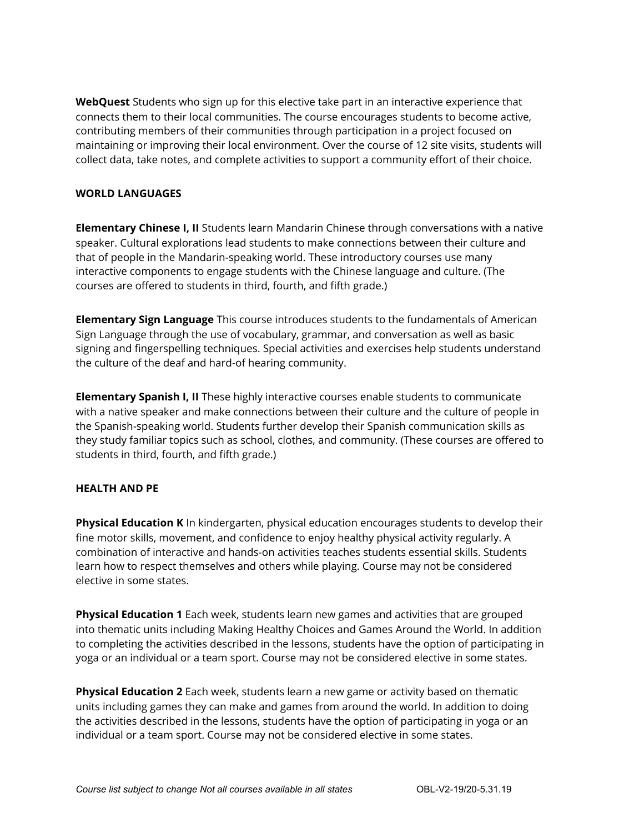**WebQuest** Students who sign up for this elective take part in an interactive experience that connects them to their local communities. The course encourages students to become active, contributing members of their communities through participation in a project focused on maintaining or improving their local environment. Over the course of 12 site visits, students will collect data, take notes, and complete activities to support a community effort of their choice.

#### **WORLD LANGUAGES**

**Elementary Chinese I, II** Students learn Mandarin Chinese through conversations with a native speaker. Cultural explorations lead students to make connections between their culture and that of people in the Mandarin-speaking world. These introductory courses use many interactive components to engage students with the Chinese language and culture. (The courses are offered to students in third, fourth, and fifth grade.)

**Elementary Sign Language** This course introduces students to the fundamentals of American Sign Language through the use of vocabulary, grammar, and conversation as well as basic signing and fingerspelling techniques. Special activities and exercises help students understand the culture of the deaf and hard-of hearing community.

**Elementary Spanish I, II** These highly interactive courses enable students to communicate with a native speaker and make connections between their culture and the culture of people in the Spanish-speaking world. Students further develop their Spanish communication skills as they study familiar topics such as school, clothes, and community. (These courses are offered to students in third, fourth, and fifth grade.)

#### **HEALTH AND PE**

**Physical Education K** In kindergarten, physical education encourages students to develop their fine motor skills, movement, and confidence to enjoy healthy physical activity regularly. A combination of interactive and hands-on activities teaches students essential skills. Students learn how to respect themselves and others while playing. Course may not be considered elective in some states.

**Physical Education 1** Each week, students learn new games and activities that are grouped into thematic units including Making Healthy Choices and Games Around the World. In addition to completing the activities described in the lessons, students have the option of participating in yoga or an individual or a team sport. Course may not be considered elective in some states.

**Physical Education 2** Each week, students learn a new game or activity based on thematic units including games they can make and games from around the world. In addition to doing the activities described in the lessons, students have the option of participating in yoga or an individual or a team sport. Course may not be considered elective in some states.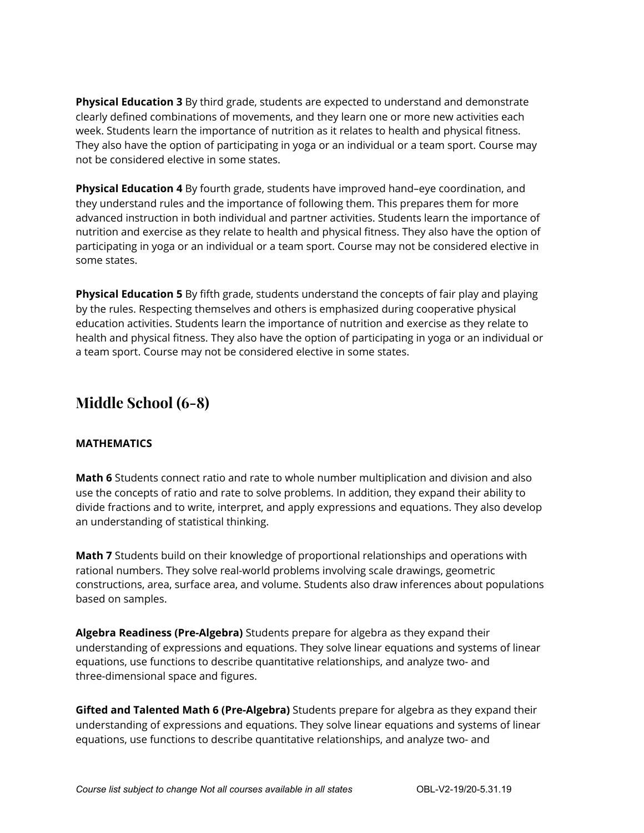**Physical Education 3** By third grade, students are expected to understand and demonstrate clearly defined combinations of movements, and they learn one or more new activities each week. Students learn the importance of nutrition as it relates to health and physical fitness. They also have the option of participating in yoga or an individual or a team sport. Course may not be considered elective in some states.

**Physical Education 4** By fourth grade, students have improved hand–eye coordination, and they understand rules and the importance of following them. This prepares them for more advanced instruction in both individual and partner activities. Students learn the importance of nutrition and exercise as they relate to health and physical fitness. They also have the option of participating in yoga or an individual or a team sport. Course may not be considered elective in some states.

**Physical Education 5** By fifth grade, students understand the concepts of fair play and playing by the rules. Respecting themselves and others is emphasized during cooperative physical education activities. Students learn the importance of nutrition and exercise as they relate to health and physical fitness. They also have the option of participating in yoga or an individual or a team sport. Course may not be considered elective in some states.

## **Middle School (6-8)**

#### **MATHEMATICS**

**Math 6** Students connect ratio and rate to whole number multiplication and division and also use the concepts of ratio and rate to solve problems. In addition, they expand their ability to divide fractions and to write, interpret, and apply expressions and equations. They also develop an understanding of statistical thinking.

**Math 7** Students build on their knowledge of proportional relationships and operations with rational numbers. They solve real-world problems involving scale drawings, geometric constructions, area, surface area, and volume. Students also draw inferences about populations based on samples.

**Algebra Readiness (Pre-Algebra)** Students prepare for algebra as they expand their understanding of expressions and equations. They solve linear equations and systems of linear equations, use functions to describe quantitative relationships, and analyze two- and three-dimensional space and figures.

**Gifted and Talented Math 6 (Pre-Algebra)** Students prepare for algebra as they expand their understanding of expressions and equations. They solve linear equations and systems of linear equations, use functions to describe quantitative relationships, and analyze two- and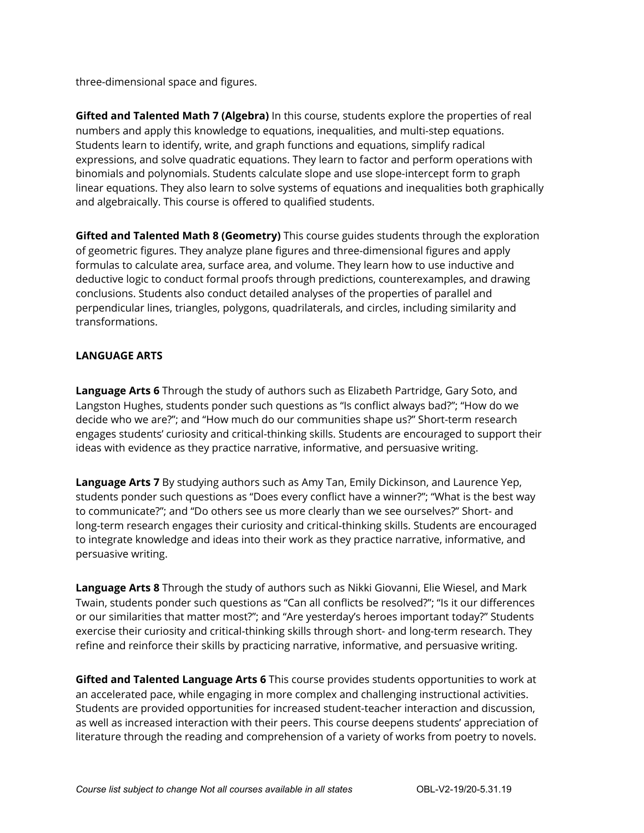three-dimensional space and figures.

**Gifted and Talented Math 7 (Algebra)** In this course, students explore the properties of real numbers and apply this knowledge to equations, inequalities, and multi-step equations. Students learn to identify, write, and graph functions and equations, simplify radical expressions, and solve quadratic equations. They learn to factor and perform operations with binomials and polynomials. Students calculate slope and use slope-intercept form to graph linear equations. They also learn to solve systems of equations and inequalities both graphically and algebraically. This course is offered to qualified students.

**Gifted and Talented Math 8 (Geometry)** This course guides students through the exploration of geometric figures. They analyze plane figures and three-dimensional figures and apply formulas to calculate area, surface area, and volume. They learn how to use inductive and deductive logic to conduct formal proofs through predictions, counterexamples, and drawing conclusions. Students also conduct detailed analyses of the properties of parallel and perpendicular lines, triangles, polygons, quadrilaterals, and circles, including similarity and transformations.

#### **LANGUAGE ARTS**

**Language Arts 6** Through the study of authors such as Elizabeth Partridge, Gary Soto, and Langston Hughes, students ponder such questions as "Is conflict always bad?"; "How do we decide who we are?"; and "How much do our communities shape us?" Short-term research engages students' curiosity and critical-thinking skills. Students are encouraged to support their ideas with evidence as they practice narrative, informative, and persuasive writing.

**Language Arts 7** By studying authors such as Amy Tan, Emily Dickinson, and Laurence Yep, students ponder such questions as "Does every conflict have a winner?"; "What is the best way to communicate?"; and "Do others see us more clearly than we see ourselves?" Short- and long-term research engages their curiosity and critical-thinking skills. Students are encouraged to integrate knowledge and ideas into their work as they practice narrative, informative, and persuasive writing.

**Language Arts 8** Through the study of authors such as Nikki Giovanni, Elie Wiesel, and Mark Twain, students ponder such questions as "Can all conflicts be resolved?"; "Is it our differences or our similarities that matter most?"; and "Are yesterday's heroes important today?" Students exercise their curiosity and critical-thinking skills through short- and long-term research. They refine and reinforce their skills by practicing narrative, informative, and persuasive writing.

**Gifted and Talented Language Arts 6** This course provides students opportunities to work at an accelerated pace, while engaging in more complex and challenging instructional activities. Students are provided opportunities for increased student-teacher interaction and discussion, as well as increased interaction with their peers. This course deepens students' appreciation of literature through the reading and comprehension of a variety of works from poetry to novels.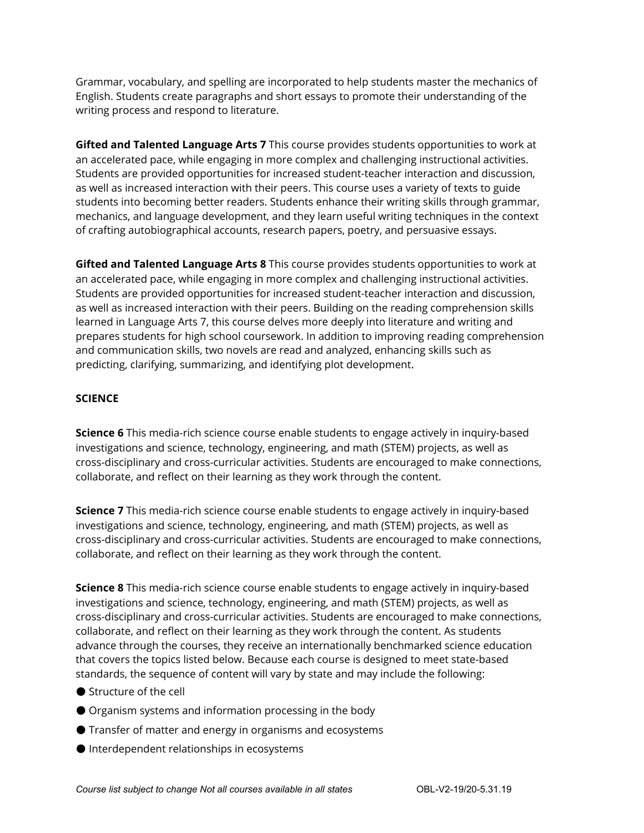Grammar, vocabulary, and spelling are incorporated to help students master the mechanics of English. Students create paragraphs and short essays to promote their understanding of the writing process and respond to literature.

**Gifted and Talented Language Arts 7** This course provides students opportunities to work at an accelerated pace, while engaging in more complex and challenging instructional activities. Students are provided opportunities for increased student-teacher interaction and discussion, as well as increased interaction with their peers. This course uses a variety of texts to guide students into becoming better readers. Students enhance their writing skills through grammar, mechanics, and language development, and they learn useful writing techniques in the context of crafting autobiographical accounts, research papers, poetry, and persuasive essays.

**Gifted and Talented Language Arts 8** This course provides students opportunities to work at an accelerated pace, while engaging in more complex and challenging instructional activities. Students are provided opportunities for increased student-teacher interaction and discussion, as well as increased interaction with their peers. Building on the reading comprehension skills learned in Language Arts 7, this course delves more deeply into literature and writing and prepares students for high school coursework. In addition to improving reading comprehension and communication skills, two novels are read and analyzed, enhancing skills such as predicting, clarifying, summarizing, and identifying plot development.

#### **SCIENCE**

**Science 6** This media-rich science course enable students to engage actively in inquiry-based investigations and science, technology, engineering, and math (STEM) projects, as well as cross-disciplinary and cross-curricular activities. Students are encouraged to make connections, collaborate, and reflect on their learning as they work through the content.

**Science 7** This media-rich science course enable students to engage actively in inquiry-based investigations and science, technology, engineering, and math (STEM) projects, as well as cross-disciplinary and cross-curricular activities. Students are encouraged to make connections, collaborate, and reflect on their learning as they work through the content.

**Science 8** This media-rich science course enable students to engage actively in inquiry-based investigations and science, technology, engineering, and math (STEM) projects, as well as cross-disciplinary and cross-curricular activities. Students are encouraged to make connections, collaborate, and reflect on their learning as they work through the content. As students advance through the courses, they receive an internationally benchmarked science education that covers the topics listed below. Because each course is designed to meet state-based standards, the sequence of content will vary by state and may include the following:

- Structure of the cell
- Organism systems and information processing in the body
- Transfer of matter and energy in organisms and ecosystems
- Interdependent relationships in ecosystems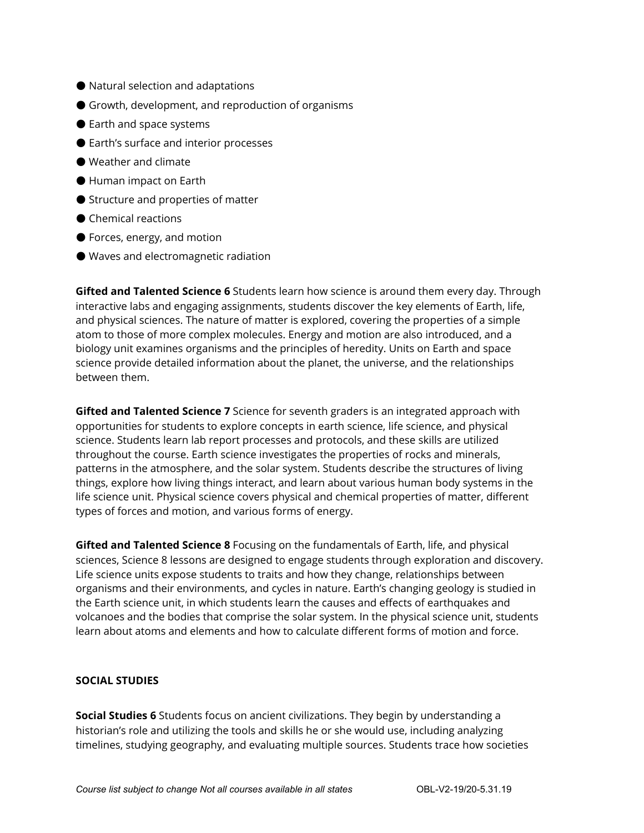- Natural selection and adaptations
- Growth, development, and reproduction of organisms
- Earth and space systems
- Earth's surface and interior processes
- Weather and climate
- Human impact on Earth
- Structure and properties of matter
- Chemical reactions
- Forces, energy, and motion
- Waves and electromagnetic radiation

**Gifted and Talented Science 6** Students learn how science is around them every day. Through interactive labs and engaging assignments, students discover the key elements of Earth, life, and physical sciences. The nature of matter is explored, covering the properties of a simple atom to those of more complex molecules. Energy and motion are also introduced, and a biology unit examines organisms and the principles of heredity. Units on Earth and space science provide detailed information about the planet, the universe, and the relationships between them.

**Gifted and Talented Science 7** Science for seventh graders is an integrated approach with opportunities for students to explore concepts in earth science, life science, and physical science. Students learn lab report processes and protocols, and these skills are utilized throughout the course. Earth science investigates the properties of rocks and minerals, patterns in the atmosphere, and the solar system. Students describe the structures of living things, explore how living things interact, and learn about various human body systems in the life science unit. Physical science covers physical and chemical properties of matter, different types of forces and motion, and various forms of energy.

**Gifted and Talented Science 8** Focusing on the fundamentals of Earth, life, and physical sciences, Science 8 lessons are designed to engage students through exploration and discovery. Life science units expose students to traits and how they change, relationships between organisms and their environments, and cycles in nature. Earth's changing geology is studied in the Earth science unit, in which students learn the causes and effects of earthquakes and volcanoes and the bodies that comprise the solar system. In the physical science unit, students learn about atoms and elements and how to calculate different forms of motion and force.

#### **SOCIAL STUDIES**

**Social Studies 6** Students focus on ancient civilizations. They begin by understanding a historian's role and utilizing the tools and skills he or she would use, including analyzing timelines, studying geography, and evaluating multiple sources. Students trace how societies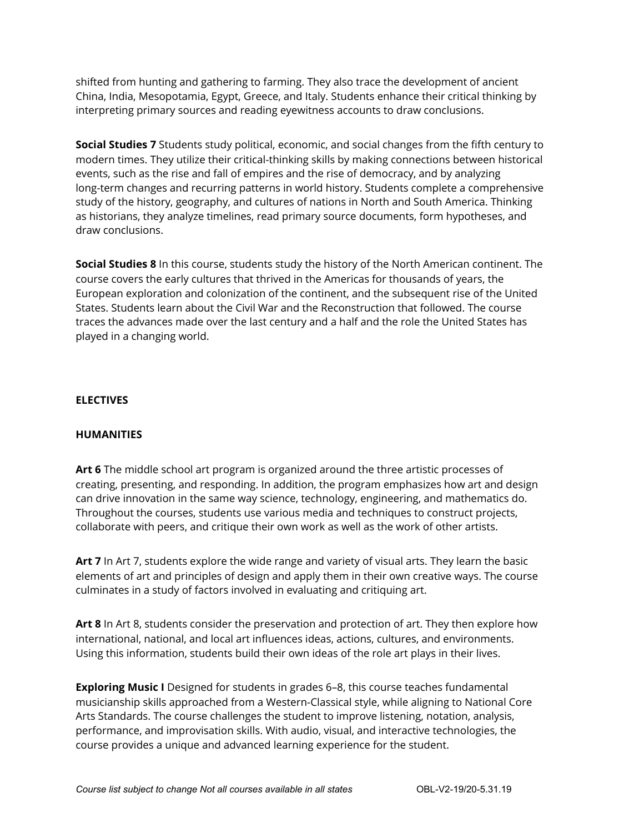shifted from hunting and gathering to farming. They also trace the development of ancient China, India, Mesopotamia, Egypt, Greece, and Italy. Students enhance their critical thinking by interpreting primary sources and reading eyewitness accounts to draw conclusions.

**Social Studies 7** Students study political, economic, and social changes from the fifth century to modern times. They utilize their critical-thinking skills by making connections between historical events, such as the rise and fall of empires and the rise of democracy, and by analyzing long-term changes and recurring patterns in world history. Students complete a comprehensive study of the history, geography, and cultures of nations in North and South America. Thinking as historians, they analyze timelines, read primary source documents, form hypotheses, and draw conclusions.

**Social Studies 8** In this course, students study the history of the North American continent. The course covers the early cultures that thrived in the Americas for thousands of years, the European exploration and colonization of the continent, and the subsequent rise of the United States. Students learn about the Civil War and the Reconstruction that followed. The course traces the advances made over the last century and a half and the role the United States has played in a changing world.

#### **ELECTIVES**

#### **HUMANITIES**

**Art 6** The middle school art program is organized around the three artistic processes of creating, presenting, and responding. In addition, the program emphasizes how art and design can drive innovation in the same way science, technology, engineering, and mathematics do. Throughout the courses, students use various media and techniques to construct projects, collaborate with peers, and critique their own work as well as the work of other artists.

**Art 7** In Art 7, students explore the wide range and variety of visual arts. They learn the basic elements of art and principles of design and apply them in their own creative ways. The course culminates in a study of factors involved in evaluating and critiquing art.

**Art 8** In Art 8, students consider the preservation and protection of art. They then explore how international, national, and local art influences ideas, actions, cultures, and environments. Using this information, students build their own ideas of the role art plays in their lives.

**Exploring Music I** Designed for students in grades 6–8, this course teaches fundamental musicianship skills approached from a Western-Classical style, while aligning to National Core Arts Standards. The course challenges the student to improve listening, notation, analysis, performance, and improvisation skills. With audio, visual, and interactive technologies, the course provides a unique and advanced learning experience for the student.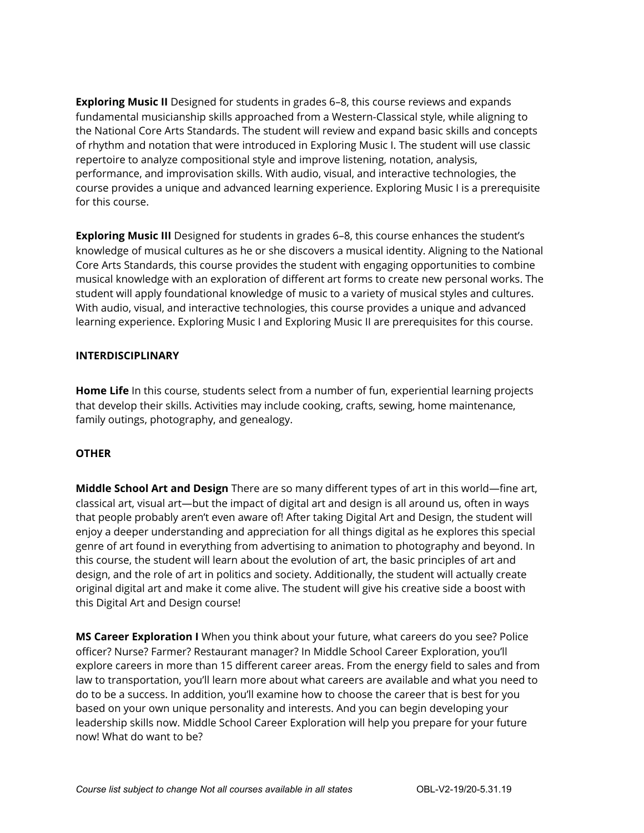**Exploring Music II** Designed for students in grades 6–8, this course reviews and expands fundamental musicianship skills approached from a Western-Classical style, while aligning to the National Core Arts Standards. The student will review and expand basic skills and concepts of rhythm and notation that were introduced in Exploring Music I. The student will use classic repertoire to analyze compositional style and improve listening, notation, analysis, performance, and improvisation skills. With audio, visual, and interactive technologies, the course provides a unique and advanced learning experience. Exploring Music I is a prerequisite for this course.

**Exploring Music III** Designed for students in grades 6–8, this course enhances the student's knowledge of musical cultures as he or she discovers a musical identity. Aligning to the National Core Arts Standards, this course provides the student with engaging opportunities to combine musical knowledge with an exploration of different art forms to create new personal works. The student will apply foundational knowledge of music to a variety of musical styles and cultures. With audio, visual, and interactive technologies, this course provides a unique and advanced learning experience. Exploring Music I and Exploring Music II are prerequisites for this course.

#### **INTERDISCIPLINARY**

**Home Life** In this course, students select from a number of fun, experiential learning projects that develop their skills. Activities may include cooking, crafts, sewing, home maintenance, family outings, photography, and genealogy.

#### **OTHER**

**Middle School Art and Design** There are so many different types of art in this world—fine art, classical art, visual art—but the impact of digital art and design is all around us, often in ways that people probably aren't even aware of! After taking Digital Art and Design, the student will enjoy a deeper understanding and appreciation for all things digital as he explores this special genre of art found in everything from advertising to animation to photography and beyond. In this course, the student will learn about the evolution of art, the basic principles of art and design, and the role of art in politics and society. Additionally, the student will actually create original digital art and make it come alive. The student will give his creative side a boost with this Digital Art and Design course!

**MS Career Exploration I** When you think about your future, what careers do you see? Police officer? Nurse? Farmer? Restaurant manager? In Middle School Career Exploration, you'll explore careers in more than 15 different career areas. From the energy field to sales and from law to transportation, you'll learn more about what careers are available and what you need to do to be a success. In addition, you'll examine how to choose the career that is best for you based on your own unique personality and interests. And you can begin developing your leadership skills now. Middle School Career Exploration will help you prepare for your future now! What do want to be?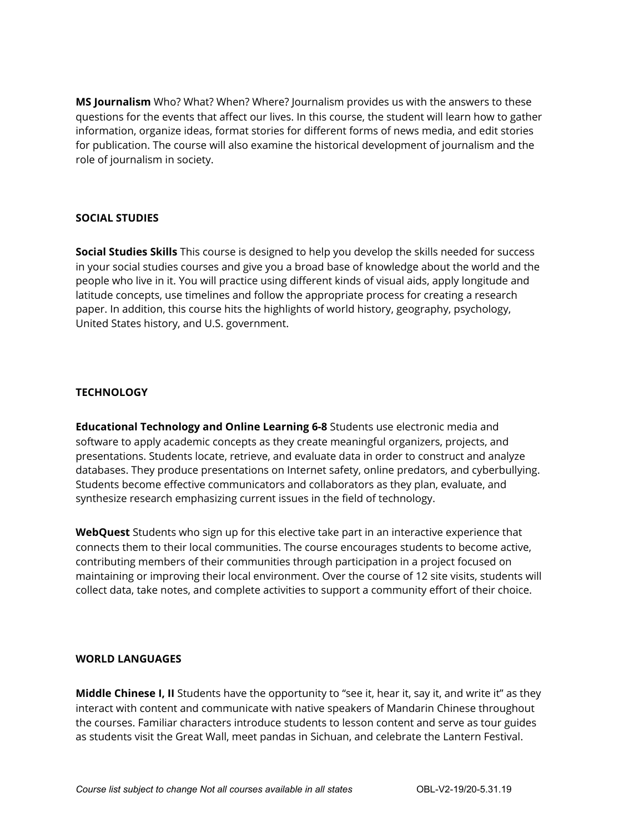**MS Journalism** Who? What? When? Where? Journalism provides us with the answers to these questions for the events that affect our lives. In this course, the student will learn how to gather information, organize ideas, format stories for different forms of news media, and edit stories for publication. The course will also examine the historical development of journalism and the role of journalism in society.

#### **SOCIAL STUDIES**

**Social Studies Skills** This course is designed to help you develop the skills needed for success in your social studies courses and give you a broad base of knowledge about the world and the people who live in it. You will practice using different kinds of visual aids, apply longitude and latitude concepts, use timelines and follow the appropriate process for creating a research paper. In addition, this course hits the highlights of world history, geography, psychology, United States history, and U.S. government.

#### **TECHNOLOGY**

**Educational Technology and Online Learning 6-8** Students use electronic media and software to apply academic concepts as they create meaningful organizers, projects, and presentations. Students locate, retrieve, and evaluate data in order to construct and analyze databases. They produce presentations on Internet safety, online predators, and cyberbullying. Students become effective communicators and collaborators as they plan, evaluate, and synthesize research emphasizing current issues in the field of technology.

**WebQuest** Students who sign up for this elective take part in an interactive experience that connects them to their local communities. The course encourages students to become active, contributing members of their communities through participation in a project focused on maintaining or improving their local environment. Over the course of 12 site visits, students will collect data, take notes, and complete activities to support a community effort of their choice.

#### **WORLD LANGUAGES**

**Middle Chinese I, II** Students have the opportunity to "see it, hear it, say it, and write it" as they interact with content and communicate with native speakers of Mandarin Chinese throughout the courses. Familiar characters introduce students to lesson content and serve as tour guides as students visit the Great Wall, meet pandas in Sichuan, and celebrate the Lantern Festival.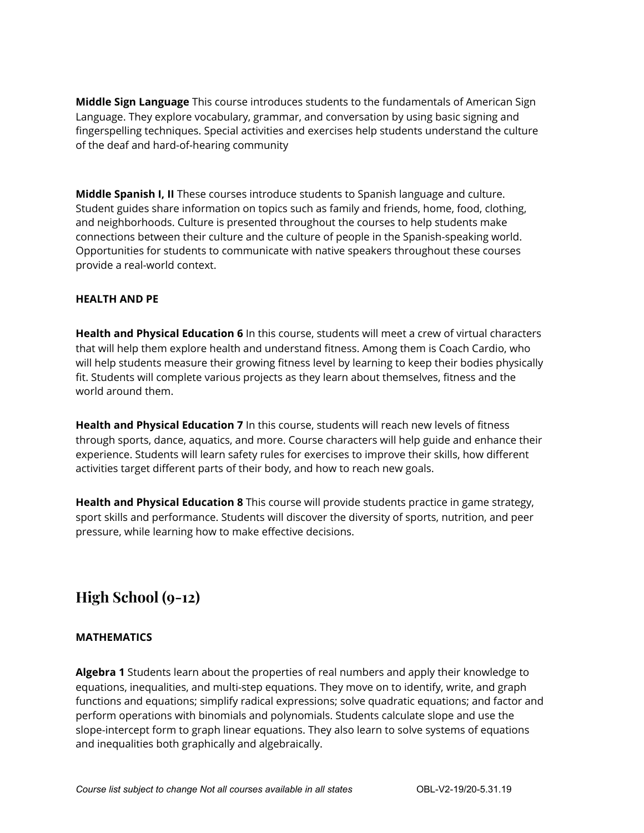**Middle Sign Language** This course introduces students to the fundamentals of American Sign Language. They explore vocabulary, grammar, and conversation by using basic signing and fingerspelling techniques. Special activities and exercises help students understand the culture of the deaf and hard-of-hearing community

**Middle Spanish I, II** These courses introduce students to Spanish language and culture. Student guides share information on topics such as family and friends, home, food, clothing, and neighborhoods. Culture is presented throughout the courses to help students make connections between their culture and the culture of people in the Spanish-speaking world. Opportunities for students to communicate with native speakers throughout these courses provide a real-world context.

#### **HEALTH AND PE**

**Health and Physical Education 6** In this course, students will meet a crew of virtual characters that will help them explore health and understand fitness. Among them is Coach Cardio, who will help students measure their growing fitness level by learning to keep their bodies physically fit. Students will complete various projects as they learn about themselves, fitness and the world around them.

**Health and Physical Education 7** In this course, students will reach new levels of fitness through sports, dance, aquatics, and more. Course characters will help guide and enhance their experience. Students will learn safety rules for exercises to improve their skills, how different activities target different parts of their body, and how to reach new goals.

**Health and Physical Education 8** This course will provide students practice in game strategy, sport skills and performance. Students will discover the diversity of sports, nutrition, and peer pressure, while learning how to make effective decisions.

## **High School (9-12)**

#### **MATHEMATICS**

**Algebra 1** Students learn about the properties of real numbers and apply their knowledge to equations, inequalities, and multi-step equations. They move on to identify, write, and graph functions and equations; simplify radical expressions; solve quadratic equations; and factor and perform operations with binomials and polynomials. Students calculate slope and use the slope-intercept form to graph linear equations. They also learn to solve systems of equations and inequalities both graphically and algebraically.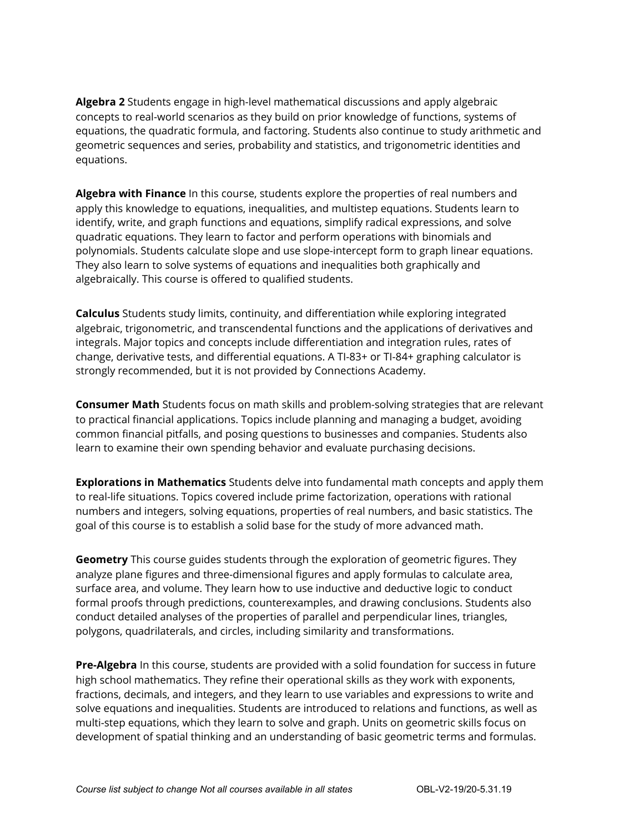**Algebra 2** Students engage in high-level mathematical discussions and apply algebraic concepts to real-world scenarios as they build on prior knowledge of functions, systems of equations, the quadratic formula, and factoring. Students also continue to study arithmetic and geometric sequences and series, probability and statistics, and trigonometric identities and equations.

**Algebra with Finance** In this course, students explore the properties of real numbers and apply this knowledge to equations, inequalities, and multistep equations. Students learn to identify, write, and graph functions and equations, simplify radical expressions, and solve quadratic equations. They learn to factor and perform operations with binomials and polynomials. Students calculate slope and use slope-intercept form to graph linear equations. They also learn to solve systems of equations and inequalities both graphically and algebraically. This course is offered to qualified students.

**Calculus** Students study limits, continuity, and differentiation while exploring integrated algebraic, trigonometric, and transcendental functions and the applications of derivatives and integrals. Major topics and concepts include differentiation and integration rules, rates of change, derivative tests, and differential equations. A TI-83+ or TI-84+ graphing calculator is strongly recommended, but it is not provided by Connections Academy.

**Consumer Math** Students focus on math skills and problem-solving strategies that are relevant to practical financial applications. Topics include planning and managing a budget, avoiding common financial pitfalls, and posing questions to businesses and companies. Students also learn to examine their own spending behavior and evaluate purchasing decisions.

**Explorations in Mathematics** Students delve into fundamental math concepts and apply them to real-life situations. Topics covered include prime factorization, operations with rational numbers and integers, solving equations, properties of real numbers, and basic statistics. The goal of this course is to establish a solid base for the study of more advanced math.

**Geometry** This course guides students through the exploration of geometric figures. They analyze plane figures and three-dimensional figures and apply formulas to calculate area, surface area, and volume. They learn how to use inductive and deductive logic to conduct formal proofs through predictions, counterexamples, and drawing conclusions. Students also conduct detailed analyses of the properties of parallel and perpendicular lines, triangles, polygons, quadrilaterals, and circles, including similarity and transformations.

**Pre-Algebra** In this course, students are provided with a solid foundation for success in future high school mathematics. They refine their operational skills as they work with exponents, fractions, decimals, and integers, and they learn to use variables and expressions to write and solve equations and inequalities. Students are introduced to relations and functions, as well as multi-step equations, which they learn to solve and graph. Units on geometric skills focus on development of spatial thinking and an understanding of basic geometric terms and formulas.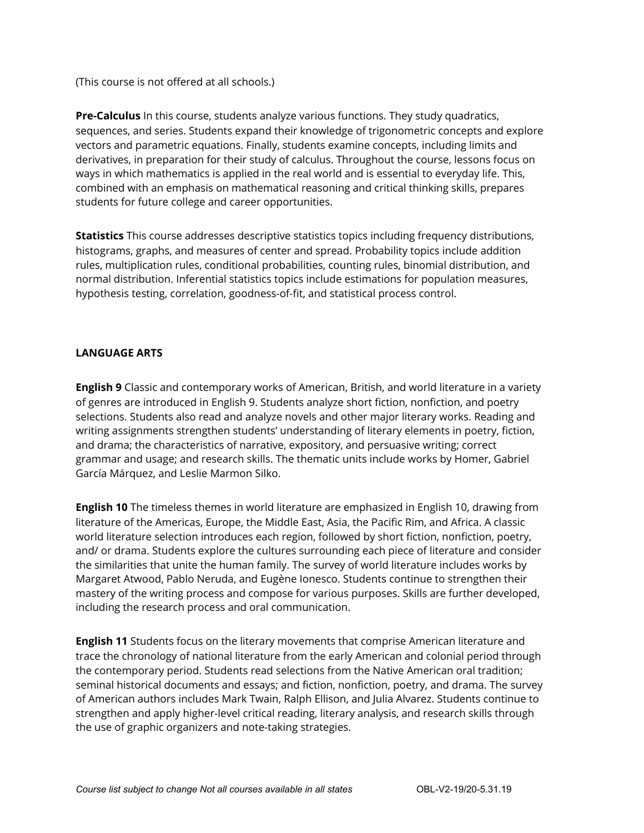(This course is not offered at all schools.)

**Pre-Calculus** In this course, students analyze various functions. They study quadratics, sequences, and series. Students expand their knowledge of trigonometric concepts and explore vectors and parametric equations. Finally, students examine concepts, including limits and derivatives, in preparation for their study of calculus. Throughout the course, lessons focus on ways in which mathematics is applied in the real world and is essential to everyday life. This, combined with an emphasis on mathematical reasoning and critical thinking skills, prepares students for future college and career opportunities.

**Statistics** This course addresses descriptive statistics topics including frequency distributions, histograms, graphs, and measures of center and spread. Probability topics include addition rules, multiplication rules, conditional probabilities, counting rules, binomial distribution, and normal distribution. Inferential statistics topics include estimations for population measures, hypothesis testing, correlation, goodness-of-fit, and statistical process control.

#### **LANGUAGE ARTS**

**English 9** Classic and contemporary works of American, British, and world literature in a variety of genres are introduced in English 9. Students analyze short fiction, nonfiction, and poetry selections. Students also read and analyze novels and other major literary works. Reading and writing assignments strengthen students' understanding of literary elements in poetry, fiction, and drama; the characteristics of narrative, expository, and persuasive writing; correct grammar and usage; and research skills. The thematic units include works by Homer, Gabriel García Márquez, and Leslie Marmon Silko.

**English 10** The timeless themes in world literature are emphasized in English 10, drawing from literature of the Americas, Europe, the Middle East, Asia, the Pacific Rim, and Africa. A classic world literature selection introduces each region, followed by short fiction, nonfiction, poetry, and/ or drama. Students explore the cultures surrounding each piece of literature and consider the similarities that unite the human family. The survey of world literature includes works by Margaret Atwood, Pablo Neruda, and Eugène Ionesco. Students continue to strengthen their mastery of the writing process and compose for various purposes. Skills are further developed, including the research process and oral communication.

**English 11** Students focus on the literary movements that comprise American literature and trace the chronology of national literature from the early American and colonial period through the contemporary period. Students read selections from the Native American oral tradition; seminal historical documents and essays; and fiction, nonfiction, poetry, and drama. The survey of American authors includes Mark Twain, Ralph Ellison, and Julia Alvarez. Students continue to strengthen and apply higher-level critical reading, literary analysis, and research skills through the use of graphic organizers and note-taking strategies.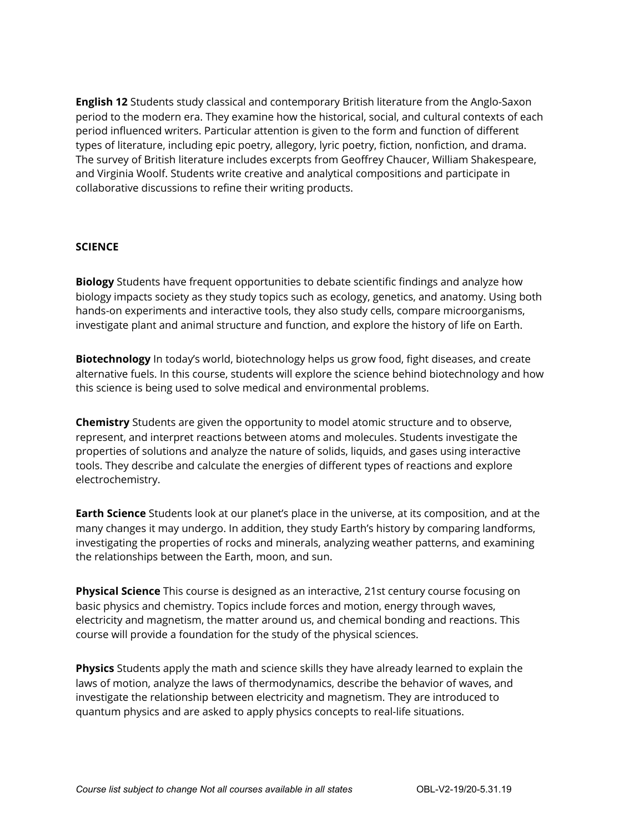**English 12** Students study classical and contemporary British literature from the Anglo-Saxon period to the modern era. They examine how the historical, social, and cultural contexts of each period influenced writers. Particular attention is given to the form and function of different types of literature, including epic poetry, allegory, lyric poetry, fiction, nonfiction, and drama. The survey of British literature includes excerpts from Geoffrey Chaucer, William Shakespeare, and Virginia Woolf. Students write creative and analytical compositions and participate in collaborative discussions to refine their writing products.

#### **SCIENCE**

**Biology** Students have frequent opportunities to debate scientific findings and analyze how biology impacts society as they study topics such as ecology, genetics, and anatomy. Using both hands-on experiments and interactive tools, they also study cells, compare microorganisms, investigate plant and animal structure and function, and explore the history of life on Earth.

**Biotechnology** In today's world, biotechnology helps us grow food, fight diseases, and create alternative fuels. In this course, students will explore the science behind biotechnology and how this science is being used to solve medical and environmental problems.

**Chemistry** Students are given the opportunity to model atomic structure and to observe, represent, and interpret reactions between atoms and molecules. Students investigate the properties of solutions and analyze the nature of solids, liquids, and gases using interactive tools. They describe and calculate the energies of different types of reactions and explore electrochemistry.

**Earth Science** Students look at our planet's place in the universe, at its composition, and at the many changes it may undergo. In addition, they study Earth's history by comparing landforms, investigating the properties of rocks and minerals, analyzing weather patterns, and examining the relationships between the Earth, moon, and sun.

**Physical Science** This course is designed as an interactive, 21st century course focusing on basic physics and chemistry. Topics include forces and motion, energy through waves, electricity and magnetism, the matter around us, and chemical bonding and reactions. This course will provide a foundation for the study of the physical sciences.

**Physics** Students apply the math and science skills they have already learned to explain the laws of motion, analyze the laws of thermodynamics, describe the behavior of waves, and investigate the relationship between electricity and magnetism. They are introduced to quantum physics and are asked to apply physics concepts to real-life situations.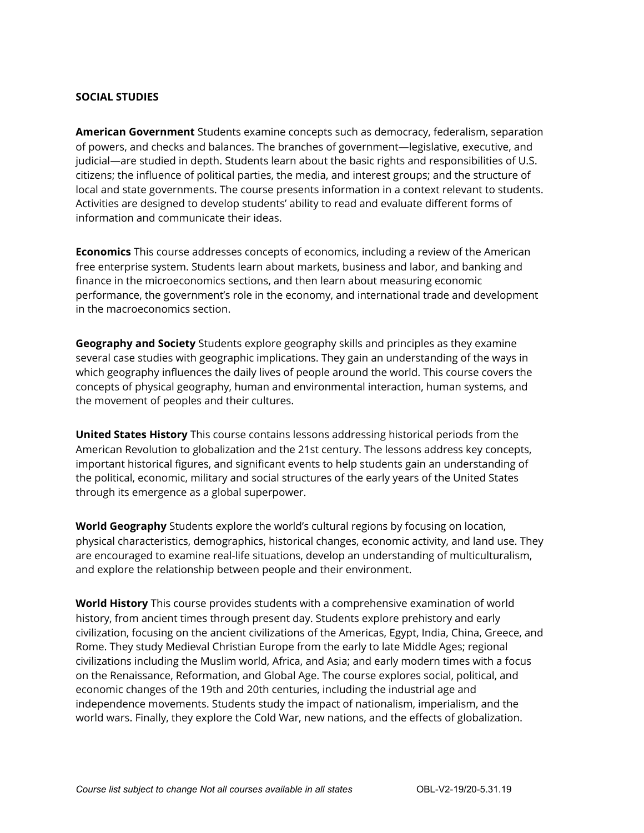#### **SOCIAL STUDIES**

**American Government** Students examine concepts such as democracy, federalism, separation of powers, and checks and balances. The branches of government—legislative, executive, and judicial—are studied in depth. Students learn about the basic rights and responsibilities of U.S. citizens; the influence of political parties, the media, and interest groups; and the structure of local and state governments. The course presents information in a context relevant to students. Activities are designed to develop students' ability to read and evaluate different forms of information and communicate their ideas.

**Economics** This course addresses concepts of economics, including a review of the American free enterprise system. Students learn about markets, business and labor, and banking and finance in the microeconomics sections, and then learn about measuring economic performance, the government's role in the economy, and international trade and development in the macroeconomics section.

**Geography and Society** Students explore geography skills and principles as they examine several case studies with geographic implications. They gain an understanding of the ways in which geography influences the daily lives of people around the world. This course covers the concepts of physical geography, human and environmental interaction, human systems, and the movement of peoples and their cultures.

**United States History** This course contains lessons addressing historical periods from the American Revolution to globalization and the 21st century. The lessons address key concepts, important historical figures, and significant events to help students gain an understanding of the political, economic, military and social structures of the early years of the United States through its emergence as a global superpower.

**World Geography** Students explore the world's cultural regions by focusing on location, physical characteristics, demographics, historical changes, economic activity, and land use. They are encouraged to examine real-life situations, develop an understanding of multiculturalism, and explore the relationship between people and their environment.

**World History** This course provides students with a comprehensive examination of world history, from ancient times through present day. Students explore prehistory and early civilization, focusing on the ancient civilizations of the Americas, Egypt, India, China, Greece, and Rome. They study Medieval Christian Europe from the early to late Middle Ages; regional civilizations including the Muslim world, Africa, and Asia; and early modern times with a focus on the Renaissance, Reformation, and Global Age. The course explores social, political, and economic changes of the 19th and 20th centuries, including the industrial age and independence movements. Students study the impact of nationalism, imperialism, and the world wars. Finally, they explore the Cold War, new nations, and the effects of globalization.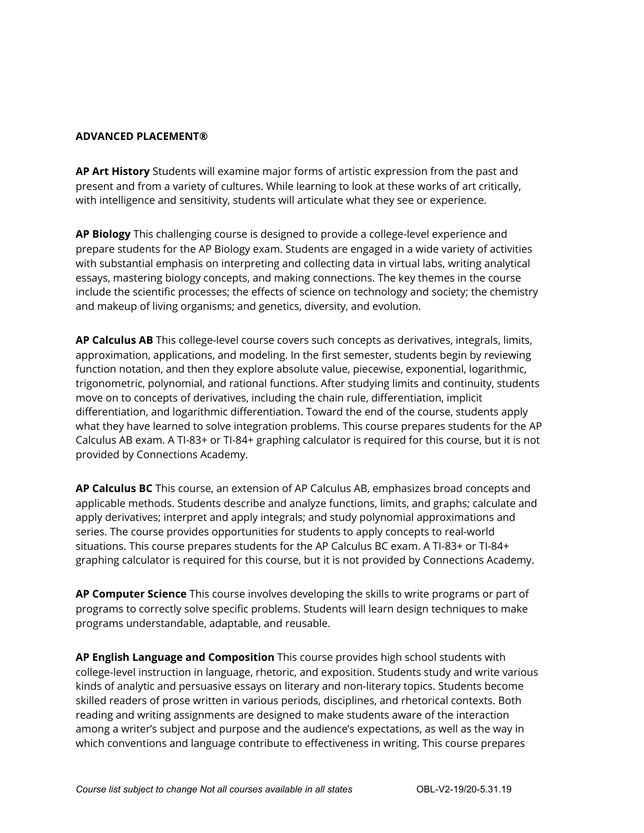#### **ADVANCED PLACEMENT®**

**AP Art History** Students will examine major forms of artistic expression from the past and present and from a variety of cultures. While learning to look at these works of art critically, with intelligence and sensitivity, students will articulate what they see or experience.

**AP Biology** This challenging course is designed to provide a college-level experience and prepare students for the AP Biology exam. Students are engaged in a wide variety of activities with substantial emphasis on interpreting and collecting data in virtual labs, writing analytical essays, mastering biology concepts, and making connections. The key themes in the course include the scientific processes; the effects of science on technology and society; the chemistry and makeup of living organisms; and genetics, diversity, and evolution.

**AP Calculus AB** This college-level course covers such concepts as derivatives, integrals, limits, approximation, applications, and modeling. In the first semester, students begin by reviewing function notation, and then they explore absolute value, piecewise, exponential, logarithmic, trigonometric, polynomial, and rational functions. After studying limits and continuity, students move on to concepts of derivatives, including the chain rule, differentiation, implicit differentiation, and logarithmic differentiation. Toward the end of the course, students apply what they have learned to solve integration problems. This course prepares students for the AP Calculus AB exam. A TI-83+ or TI-84+ graphing calculator is required for this course, but it is not provided by Connections Academy.

**AP Calculus BC** This course, an extension of AP Calculus AB, emphasizes broad concepts and applicable methods. Students describe and analyze functions, limits, and graphs; calculate and apply derivatives; interpret and apply integrals; and study polynomial approximations and series. The course provides opportunities for students to apply concepts to real-world situations. This course prepares students for the AP Calculus BC exam. A TI-83+ or TI-84+ graphing calculator is required for this course, but it is not provided by Connections Academy.

**AP Computer Science** This course involves developing the skills to write programs or part of programs to correctly solve specific problems. Students will learn design techniques to make programs understandable, adaptable, and reusable.

**AP English Language and Composition** This course provides high school students with college-level instruction in language, rhetoric, and exposition. Students study and write various kinds of analytic and persuasive essays on literary and non-literary topics. Students become skilled readers of prose written in various periods, disciplines, and rhetorical contexts. Both reading and writing assignments are designed to make students aware of the interaction among a writer's subject and purpose and the audience's expectations, as well as the way in which conventions and language contribute to effectiveness in writing. This course prepares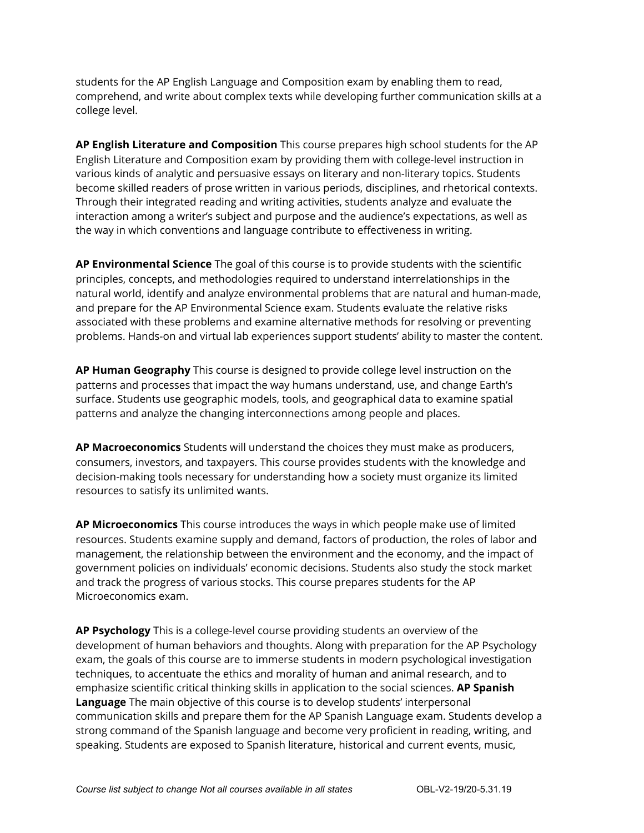students for the AP English Language and Composition exam by enabling them to read, comprehend, and write about complex texts while developing further communication skills at a college level.

**AP English Literature and Composition** This course prepares high school students for the AP English Literature and Composition exam by providing them with college-level instruction in various kinds of analytic and persuasive essays on literary and non-literary topics. Students become skilled readers of prose written in various periods, disciplines, and rhetorical contexts. Through their integrated reading and writing activities, students analyze and evaluate the interaction among a writer's subject and purpose and the audience's expectations, as well as the way in which conventions and language contribute to effectiveness in writing.

**AP Environmental Science** The goal of this course is to provide students with the scientific principles, concepts, and methodologies required to understand interrelationships in the natural world, identify and analyze environmental problems that are natural and human-made, and prepare for the AP Environmental Science exam. Students evaluate the relative risks associated with these problems and examine alternative methods for resolving or preventing problems. Hands-on and virtual lab experiences support students' ability to master the content.

**AP Human Geography** This course is designed to provide college level instruction on the patterns and processes that impact the way humans understand, use, and change Earth's surface. Students use geographic models, tools, and geographical data to examine spatial patterns and analyze the changing interconnections among people and places.

**AP Macroeconomics** Students will understand the choices they must make as producers, consumers, investors, and taxpayers. This course provides students with the knowledge and decision-making tools necessary for understanding how a society must organize its limited resources to satisfy its unlimited wants.

**AP Microeconomics** This course introduces the ways in which people make use of limited resources. Students examine supply and demand, factors of production, the roles of labor and management, the relationship between the environment and the economy, and the impact of government policies on individuals' economic decisions. Students also study the stock market and track the progress of various stocks. This course prepares students for the AP Microeconomics exam.

**AP Psychology** This is a college-level course providing students an overview of the development of human behaviors and thoughts. Along with preparation for the AP Psychology exam, the goals of this course are to immerse students in modern psychological investigation techniques, to accentuate the ethics and morality of human and animal research, and to emphasize scientific critical thinking skills in application to the social sciences. **AP Spanish Language** The main objective of this course is to develop students' interpersonal communication skills and prepare them for the AP Spanish Language exam. Students develop a strong command of the Spanish language and become very proficient in reading, writing, and speaking. Students are exposed to Spanish literature, historical and current events, music,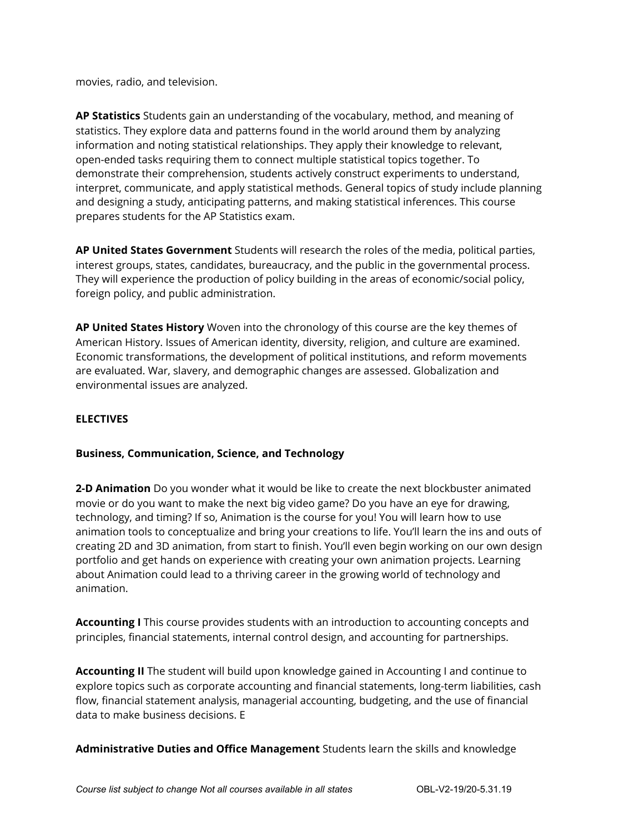movies, radio, and television.

**AP Statistics** Students gain an understanding of the vocabulary, method, and meaning of statistics. They explore data and patterns found in the world around them by analyzing information and noting statistical relationships. They apply their knowledge to relevant, open-ended tasks requiring them to connect multiple statistical topics together. To demonstrate their comprehension, students actively construct experiments to understand, interpret, communicate, and apply statistical methods. General topics of study include planning and designing a study, anticipating patterns, and making statistical inferences. This course prepares students for the AP Statistics exam.

**AP United States Government** Students will research the roles of the media, political parties, interest groups, states, candidates, bureaucracy, and the public in the governmental process. They will experience the production of policy building in the areas of economic/social policy, foreign policy, and public administration.

**AP United States History** Woven into the chronology of this course are the key themes of American History. Issues of American identity, diversity, religion, and culture are examined. Economic transformations, the development of political institutions, and reform movements are evaluated. War, slavery, and demographic changes are assessed. Globalization and environmental issues are analyzed.

#### **ELECTIVES**

#### **Business, Communication, Science, and Technology**

**2-D Animation** Do you wonder what it would be like to create the next blockbuster animated movie or do you want to make the next big video game? Do you have an eye for drawing, technology, and timing? If so, Animation is the course for you! You will learn how to use animation tools to conceptualize and bring your creations to life. You'll learn the ins and outs of creating 2D and 3D animation, from start to finish. You'll even begin working on our own design portfolio and get hands on experience with creating your own animation projects. Learning about Animation could lead to a thriving career in the growing world of technology and animation.

**Accounting I** This course provides students with an introduction to accounting concepts and principles, financial statements, internal control design, and accounting for partnerships.

**Accounting II** The student will build upon knowledge gained in Accounting I and continue to explore topics such as corporate accounting and financial statements, long-term liabilities, cash flow, financial statement analysis, managerial accounting, budgeting, and the use of financial data to make business decisions. E

**Administrative Duties and Office Management** Students learn the skills and knowledge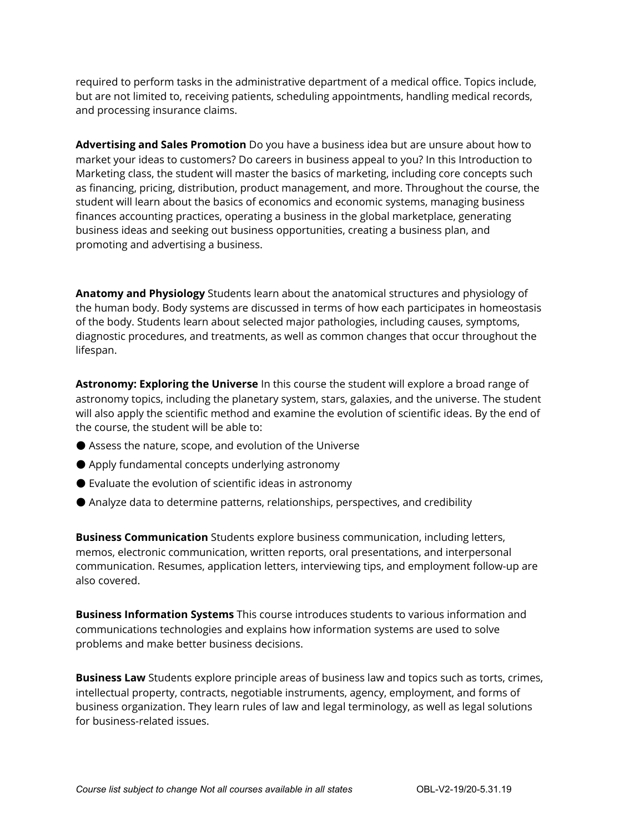required to perform tasks in the administrative department of a medical office. Topics include, but are not limited to, receiving patients, scheduling appointments, handling medical records, and processing insurance claims.

**Advertising and Sales Promotion** Do you have a business idea but are unsure about how to market your ideas to customers? Do careers in business appeal to you? In this Introduction to Marketing class, the student will master the basics of marketing, including core concepts such as financing, pricing, distribution, product management, and more. Throughout the course, the student will learn about the basics of economics and economic systems, managing business finances accounting practices, operating a business in the global marketplace, generating business ideas and seeking out business opportunities, creating a business plan, and promoting and advertising a business.

**Anatomy and Physiology** Students learn about the anatomical structures and physiology of the human body. Body systems are discussed in terms of how each participates in homeostasis of the body. Students learn about selected major pathologies, including causes, symptoms, diagnostic procedures, and treatments, as well as common changes that occur throughout the lifespan.

**Astronomy: Exploring the Universe** In this course the student will explore a broad range of astronomy topics, including the planetary system, stars, galaxies, and the universe. The student will also apply the scientific method and examine the evolution of scientific ideas. By the end of the course, the student will be able to:

- Assess the nature, scope, and evolution of the Universe
- Apply fundamental concepts underlying astronomy
- Evaluate the evolution of scientific ideas in astronomy
- Analyze data to determine patterns, relationships, perspectives, and credibility

**Business Communication** Students explore business communication, including letters, memos, electronic communication, written reports, oral presentations, and interpersonal communication. Resumes, application letters, interviewing tips, and employment follow-up are also covered.

**Business Information Systems** This course introduces students to various information and communications technologies and explains how information systems are used to solve problems and make better business decisions.

**Business Law** Students explore principle areas of business law and topics such as torts, crimes, intellectual property, contracts, negotiable instruments, agency, employment, and forms of business organization. They learn rules of law and legal terminology, as well as legal solutions for business-related issues.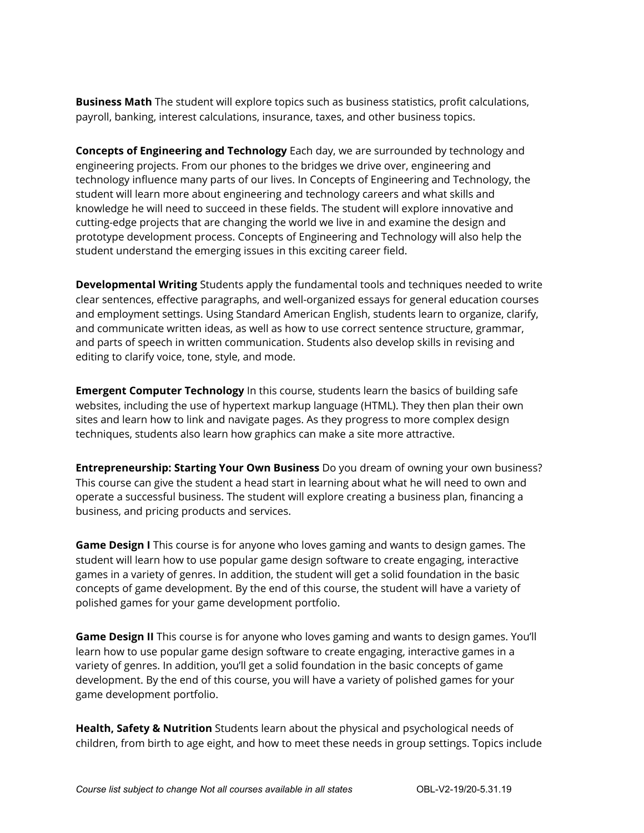**Business Math** The student will explore topics such as business statistics, profit calculations, payroll, banking, interest calculations, insurance, taxes, and other business topics.

**Concepts of Engineering and Technology** Each day, we are surrounded by technology and engineering projects. From our phones to the bridges we drive over, engineering and technology influence many parts of our lives. In Concepts of Engineering and Technology, the student will learn more about engineering and technology careers and what skills and knowledge he will need to succeed in these fields. The student will explore innovative and cutting-edge projects that are changing the world we live in and examine the design and prototype development process. Concepts of Engineering and Technology will also help the student understand the emerging issues in this exciting career field.

**Developmental Writing** Students apply the fundamental tools and techniques needed to write clear sentences, effective paragraphs, and well-organized essays for general education courses and employment settings. Using Standard American English, students learn to organize, clarify, and communicate written ideas, as well as how to use correct sentence structure, grammar, and parts of speech in written communication. Students also develop skills in revising and editing to clarify voice, tone, style, and mode.

**Emergent Computer Technology** In this course, students learn the basics of building safe websites, including the use of hypertext markup language (HTML). They then plan their own sites and learn how to link and navigate pages. As they progress to more complex design techniques, students also learn how graphics can make a site more attractive.

**Entrepreneurship: Starting Your Own Business** Do you dream of owning your own business? This course can give the student a head start in learning about what he will need to own and operate a successful business. The student will explore creating a business plan, financing a business, and pricing products and services.

**Game Design I** This course is for anyone who loves gaming and wants to design games. The student will learn how to use popular game design software to create engaging, interactive games in a variety of genres. In addition, the student will get a solid foundation in the basic concepts of game development. By the end of this course, the student will have a variety of polished games for your game development portfolio.

**Game Design II** This course is for anyone who loves gaming and wants to design games. You'll learn how to use popular game design software to create engaging, interactive games in a variety of genres. In addition, you'll get a solid foundation in the basic concepts of game development. By the end of this course, you will have a variety of polished games for your game development portfolio.

**Health, Safety & Nutrition** Students learn about the physical and psychological needs of children, from birth to age eight, and how to meet these needs in group settings. Topics include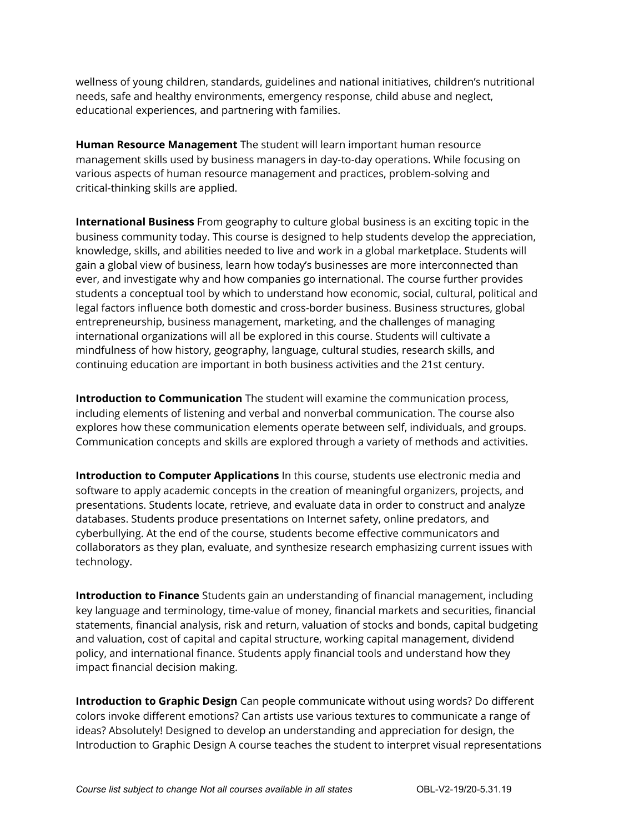wellness of young children, standards, guidelines and national initiatives, children's nutritional needs, safe and healthy environments, emergency response, child abuse and neglect, educational experiences, and partnering with families.

**Human Resource Management** The student will learn important human resource management skills used by business managers in day-to-day operations. While focusing on various aspects of human resource management and practices, problem-solving and critical-thinking skills are applied.

**International Business** From geography to culture global business is an exciting topic in the business community today. This course is designed to help students develop the appreciation, knowledge, skills, and abilities needed to live and work in a global marketplace. Students will gain a global view of business, learn how today's businesses are more interconnected than ever, and investigate why and how companies go international. The course further provides students a conceptual tool by which to understand how economic, social, cultural, political and legal factors influence both domestic and cross-border business. Business structures, global entrepreneurship, business management, marketing, and the challenges of managing international organizations will all be explored in this course. Students will cultivate a mindfulness of how history, geography, language, cultural studies, research skills, and continuing education are important in both business activities and the 21st century.

**Introduction to Communication** The student will examine the communication process, including elements of listening and verbal and nonverbal communication. The course also explores how these communication elements operate between self, individuals, and groups. Communication concepts and skills are explored through a variety of methods and activities.

**Introduction to Computer Applications** In this course, students use electronic media and software to apply academic concepts in the creation of meaningful organizers, projects, and presentations. Students locate, retrieve, and evaluate data in order to construct and analyze databases. Students produce presentations on Internet safety, online predators, and cyberbullying. At the end of the course, students become effective communicators and collaborators as they plan, evaluate, and synthesize research emphasizing current issues with technology.

**Introduction to Finance** Students gain an understanding of financial management, including key language and terminology, time-value of money, financial markets and securities, financial statements, financial analysis, risk and return, valuation of stocks and bonds, capital budgeting and valuation, cost of capital and capital structure, working capital management, dividend policy, and international finance. Students apply financial tools and understand how they impact financial decision making.

**Introduction to Graphic Design** Can people communicate without using words? Do different colors invoke different emotions? Can artists use various textures to communicate a range of ideas? Absolutely! Designed to develop an understanding and appreciation for design, the Introduction to Graphic Design A course teaches the student to interpret visual representations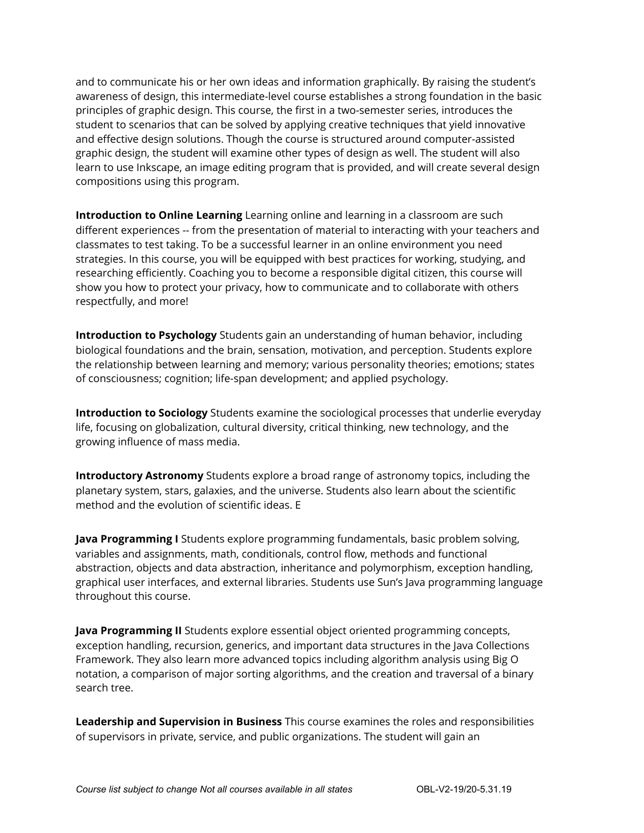and to communicate his or her own ideas and information graphically. By raising the student's awareness of design, this intermediate-level course establishes a strong foundation in the basic principles of graphic design. This course, the first in a two-semester series, introduces the student to scenarios that can be solved by applying creative techniques that yield innovative and effective design solutions. Though the course is structured around computer-assisted graphic design, the student will examine other types of design as well. The student will also learn to use Inkscape, an image editing program that is provided, and will create several design compositions using this program.

**Introduction to Online Learning** Learning online and learning in a classroom are such different experiences -- from the presentation of material to interacting with your teachers and classmates to test taking. To be a successful learner in an online environment you need strategies. In this course, you will be equipped with best practices for working, studying, and researching efficiently. Coaching you to become a responsible digital citizen, this course will show you how to protect your privacy, how to communicate and to collaborate with others respectfully, and more!

**Introduction to Psychology** Students gain an understanding of human behavior, including biological foundations and the brain, sensation, motivation, and perception. Students explore the relationship between learning and memory; various personality theories; emotions; states of consciousness; cognition; life-span development; and applied psychology.

**Introduction to Sociology** Students examine the sociological processes that underlie everyday life, focusing on globalization, cultural diversity, critical thinking, new technology, and the growing influence of mass media.

**Introductory Astronomy** Students explore a broad range of astronomy topics, including the planetary system, stars, galaxies, and the universe. Students also learn about the scientific method and the evolution of scientific ideas. E

**Java Programming I** Students explore programming fundamentals, basic problem solving, variables and assignments, math, conditionals, control flow, methods and functional abstraction, objects and data abstraction, inheritance and polymorphism, exception handling, graphical user interfaces, and external libraries. Students use Sun's Java programming language throughout this course.

**Java Programming II** Students explore essential object oriented programming concepts, exception handling, recursion, generics, and important data structures in the Java Collections Framework. They also learn more advanced topics including algorithm analysis using Big O notation, a comparison of major sorting algorithms, and the creation and traversal of a binary search tree.

**Leadership and Supervision in Business** This course examines the roles and responsibilities of supervisors in private, service, and public organizations. The student will gain an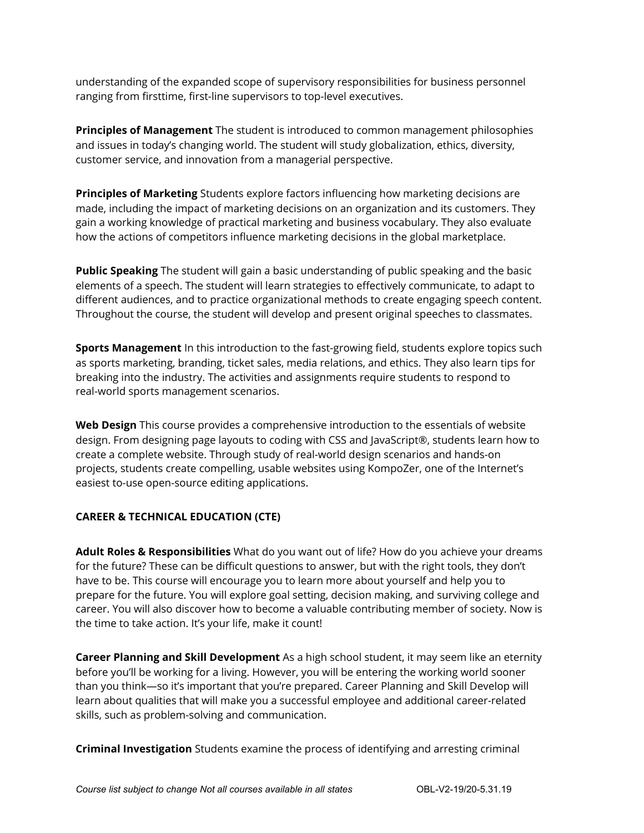understanding of the expanded scope of supervisory responsibilities for business personnel ranging from firsttime, first-line supervisors to top-level executives.

**Principles of Management** The student is introduced to common management philosophies and issues in today's changing world. The student will study globalization, ethics, diversity, customer service, and innovation from a managerial perspective.

**Principles of Marketing** Students explore factors influencing how marketing decisions are made, including the impact of marketing decisions on an organization and its customers. They gain a working knowledge of practical marketing and business vocabulary. They also evaluate how the actions of competitors influence marketing decisions in the global marketplace.

**Public Speaking** The student will gain a basic understanding of public speaking and the basic elements of a speech. The student will learn strategies to effectively communicate, to adapt to different audiences, and to practice organizational methods to create engaging speech content. Throughout the course, the student will develop and present original speeches to classmates.

**Sports Management** In this introduction to the fast-growing field, students explore topics such as sports marketing, branding, ticket sales, media relations, and ethics. They also learn tips for breaking into the industry. The activities and assignments require students to respond to real-world sports management scenarios.

**Web Design** This course provides a comprehensive introduction to the essentials of website design. From designing page layouts to coding with CSS and JavaScript®, students learn how to create a complete website. Through study of real-world design scenarios and hands-on projects, students create compelling, usable websites using KompoZer, one of the Internet's easiest to-use open-source editing applications.

#### **CAREER & TECHNICAL EDUCATION (CTE)**

**Adult Roles & Responsibilities** What do you want out of life? How do you achieve your dreams for the future? These can be difficult questions to answer, but with the right tools, they don't have to be. This course will encourage you to learn more about yourself and help you to prepare for the future. You will explore goal setting, decision making, and surviving college and career. You will also discover how to become a valuable contributing member of society. Now is the time to take action. It's your life, make it count!

**Career Planning and Skill Development** As a high school student, it may seem like an eternity before you'll be working for a living. However, you will be entering the working world sooner than you think—so it's important that you're prepared. Career Planning and Skill Develop will learn about qualities that will make you a successful employee and additional career-related skills, such as problem-solving and communication.

**Criminal Investigation** Students examine the process of identifying and arresting criminal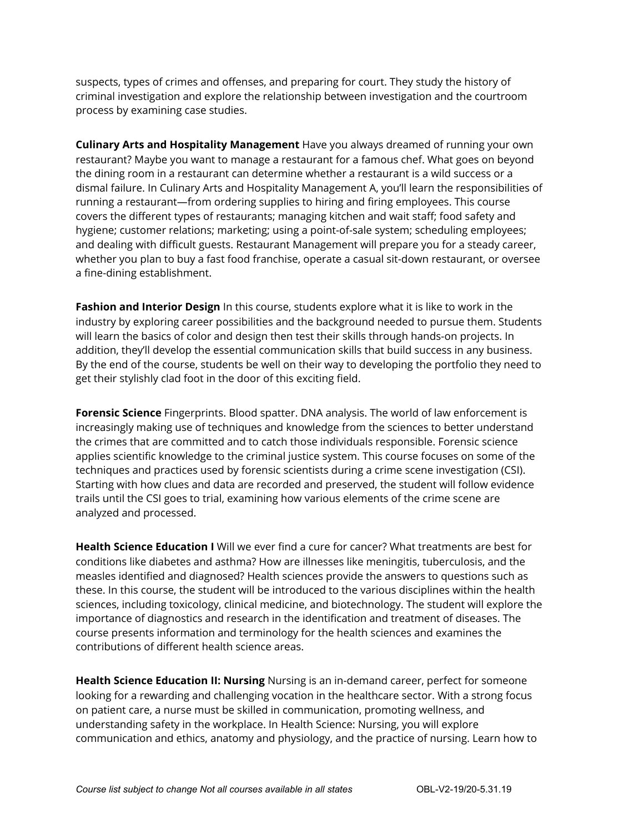suspects, types of crimes and offenses, and preparing for court. They study the history of criminal investigation and explore the relationship between investigation and the courtroom process by examining case studies.

**Culinary Arts and Hospitality Management** Have you always dreamed of running your own restaurant? Maybe you want to manage a restaurant for a famous chef. What goes on beyond the dining room in a restaurant can determine whether a restaurant is a wild success or a dismal failure. In Culinary Arts and Hospitality Management A, you'll learn the responsibilities of running a restaurant—from ordering supplies to hiring and firing employees. This course covers the different types of restaurants; managing kitchen and wait staff; food safety and hygiene; customer relations; marketing; using a point-of-sale system; scheduling employees; and dealing with difficult guests. Restaurant Management will prepare you for a steady career, whether you plan to buy a fast food franchise, operate a casual sit-down restaurant, or oversee a fine-dining establishment.

**Fashion and Interior Design** In this course, students explore what it is like to work in the industry by exploring career possibilities and the background needed to pursue them. Students will learn the basics of color and design then test their skills through hands-on projects. In addition, they'll develop the essential communication skills that build success in any business. By the end of the course, students be well on their way to developing the portfolio they need to get their stylishly clad foot in the door of this exciting field.

**Forensic Science** Fingerprints. Blood spatter. DNA analysis. The world of law enforcement is increasingly making use of techniques and knowledge from the sciences to better understand the crimes that are committed and to catch those individuals responsible. Forensic science applies scientific knowledge to the criminal justice system. This course focuses on some of the techniques and practices used by forensic scientists during a crime scene investigation (CSI). Starting with how clues and data are recorded and preserved, the student will follow evidence trails until the CSI goes to trial, examining how various elements of the crime scene are analyzed and processed.

**Health Science Education I** Will we ever find a cure for cancer? What treatments are best for conditions like diabetes and asthma? How are illnesses like meningitis, tuberculosis, and the measles identified and diagnosed? Health sciences provide the answers to questions such as these. In this course, the student will be introduced to the various disciplines within the health sciences, including toxicology, clinical medicine, and biotechnology. The student will explore the importance of diagnostics and research in the identification and treatment of diseases. The course presents information and terminology for the health sciences and examines the contributions of different health science areas.

**Health Science Education II: Nursing** Nursing is an in-demand career, perfect for someone looking for a rewarding and challenging vocation in the healthcare sector. With a strong focus on patient care, a nurse must be skilled in communication, promoting wellness, and understanding safety in the workplace. In Health Science: Nursing, you will explore communication and ethics, anatomy and physiology, and the practice of nursing. Learn how to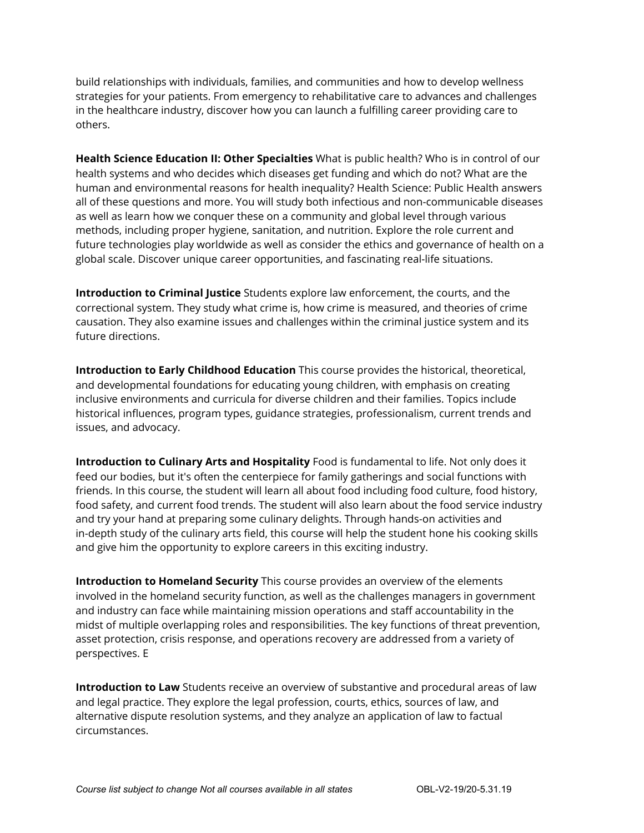build relationships with individuals, families, and communities and how to develop wellness strategies for your patients. From emergency to rehabilitative care to advances and challenges in the healthcare industry, discover how you can launch a fulfilling career providing care to others.

**Health Science Education II: Other Specialties** What is public health? Who is in control of our health systems and who decides which diseases get funding and which do not? What are the human and environmental reasons for health inequality? Health Science: Public Health answers all of these questions and more. You will study both infectious and non-communicable diseases as well as learn how we conquer these on a community and global level through various methods, including proper hygiene, sanitation, and nutrition. Explore the role current and future technologies play worldwide as well as consider the ethics and governance of health on a global scale. Discover unique career opportunities, and fascinating real-life situations.

**Introduction to Criminal Justice** Students explore law enforcement, the courts, and the correctional system. They study what crime is, how crime is measured, and theories of crime causation. They also examine issues and challenges within the criminal justice system and its future directions.

**Introduction to Early Childhood Education** This course provides the historical, theoretical, and developmental foundations for educating young children, with emphasis on creating inclusive environments and curricula for diverse children and their families. Topics include historical influences, program types, guidance strategies, professionalism, current trends and issues, and advocacy.

**Introduction to Culinary Arts and Hospitality** Food is fundamental to life. Not only does it feed our bodies, but it's often the centerpiece for family gatherings and social functions with friends. In this course, the student will learn all about food including food culture, food history, food safety, and current food trends. The student will also learn about the food service industry and try your hand at preparing some culinary delights. Through hands-on activities and in-depth study of the culinary arts field, this course will help the student hone his cooking skills and give him the opportunity to explore careers in this exciting industry.

**Introduction to Homeland Security** This course provides an overview of the elements involved in the homeland security function, as well as the challenges managers in government and industry can face while maintaining mission operations and staff accountability in the midst of multiple overlapping roles and responsibilities. The key functions of threat prevention, asset protection, crisis response, and operations recovery are addressed from a variety of perspectives. E

**Introduction to Law** Students receive an overview of substantive and procedural areas of law and legal practice. They explore the legal profession, courts, ethics, sources of law, and alternative dispute resolution systems, and they analyze an application of law to factual circumstances.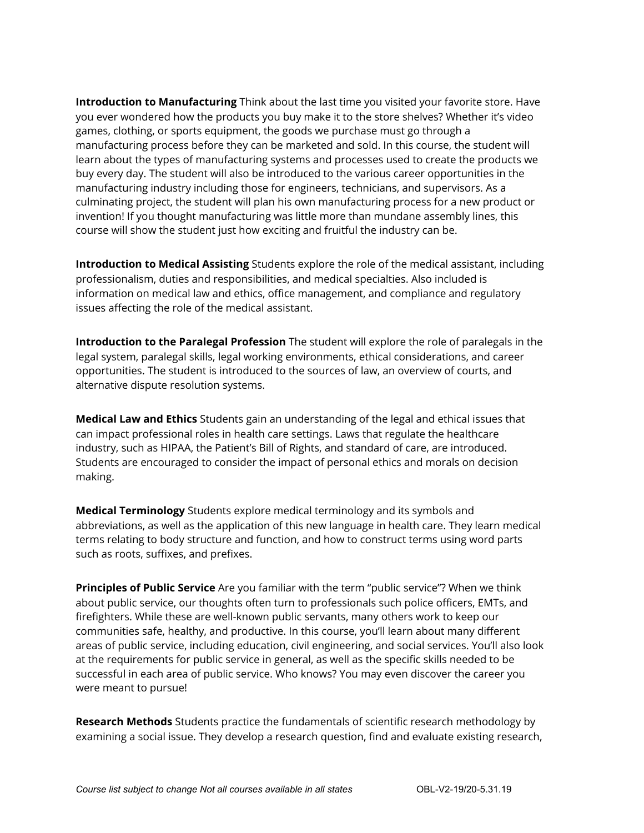**Introduction to Manufacturing** Think about the last time you visited your favorite store. Have you ever wondered how the products you buy make it to the store shelves? Whether it's video games, clothing, or sports equipment, the goods we purchase must go through a manufacturing process before they can be marketed and sold. In this course, the student will learn about the types of manufacturing systems and processes used to create the products we buy every day. The student will also be introduced to the various career opportunities in the manufacturing industry including those for engineers, technicians, and supervisors. As a culminating project, the student will plan his own manufacturing process for a new product or invention! If you thought manufacturing was little more than mundane assembly lines, this course will show the student just how exciting and fruitful the industry can be.

**Introduction to Medical Assisting** Students explore the role of the medical assistant, including professionalism, duties and responsibilities, and medical specialties. Also included is information on medical law and ethics, office management, and compliance and regulatory issues affecting the role of the medical assistant.

**Introduction to the Paralegal Profession** The student will explore the role of paralegals in the legal system, paralegal skills, legal working environments, ethical considerations, and career opportunities. The student is introduced to the sources of law, an overview of courts, and alternative dispute resolution systems.

**Medical Law and Ethics** Students gain an understanding of the legal and ethical issues that can impact professional roles in health care settings. Laws that regulate the healthcare industry, such as HIPAA, the Patient's Bill of Rights, and standard of care, are introduced. Students are encouraged to consider the impact of personal ethics and morals on decision making.

**Medical Terminology** Students explore medical terminology and its symbols and abbreviations, as well as the application of this new language in health care. They learn medical terms relating to body structure and function, and how to construct terms using word parts such as roots, suffixes, and prefixes.

**Principles of Public Service** Are you familiar with the term "public service"? When we think about public service, our thoughts often turn to professionals such police officers, EMTs, and firefighters. While these are well-known public servants, many others work to keep our communities safe, healthy, and productive. In this course, you'll learn about many different areas of public service, including education, civil engineering, and social services. You'll also look at the requirements for public service in general, as well as the specific skills needed to be successful in each area of public service. Who knows? You may even discover the career you were meant to pursue!

**Research Methods** Students practice the fundamentals of scientific research methodology by examining a social issue. They develop a research question, find and evaluate existing research,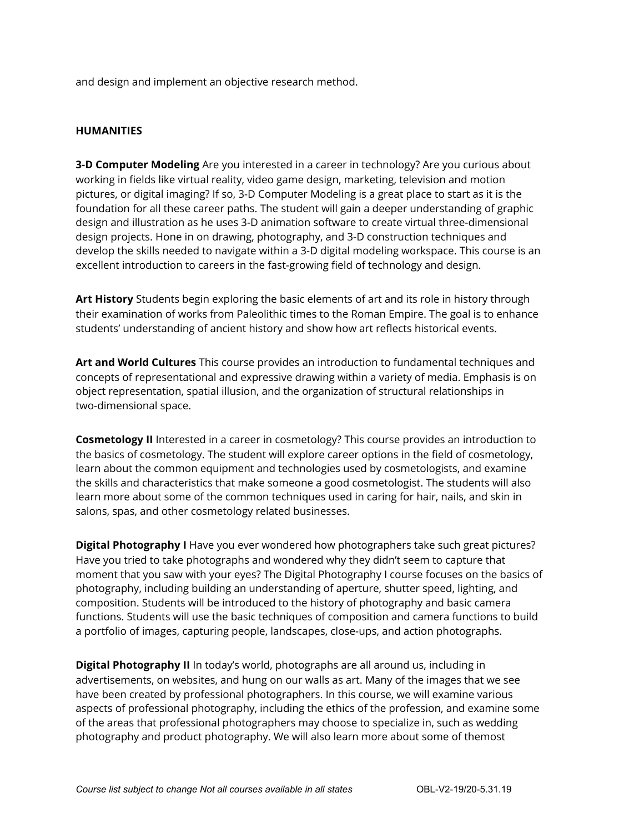and design and implement an objective research method.

#### **HUMANITIES**

**3-D Computer Modeling** Are you interested in a career in technology? Are you curious about working in fields like virtual reality, video game design, marketing, television and motion pictures, or digital imaging? If so, 3-D Computer Modeling is a great place to start as it is the foundation for all these career paths. The student will gain a deeper understanding of graphic design and illustration as he uses 3-D animation software to create virtual three-dimensional design projects. Hone in on drawing, photography, and 3-D construction techniques and develop the skills needed to navigate within a 3-D digital modeling workspace. This course is an excellent introduction to careers in the fast-growing field of technology and design.

**Art History** Students begin exploring the basic elements of art and its role in history through their examination of works from Paleolithic times to the Roman Empire. The goal is to enhance students' understanding of ancient history and show how art reflects historical events.

**Art and World Cultures** This course provides an introduction to fundamental techniques and concepts of representational and expressive drawing within a variety of media. Emphasis is on object representation, spatial illusion, and the organization of structural relationships in two-dimensional space.

**Cosmetology II** Interested in a career in cosmetology? This course provides an introduction to the basics of cosmetology. The student will explore career options in the field of cosmetology, learn about the common equipment and technologies used by cosmetologists, and examine the skills and characteristics that make someone a good cosmetologist. The students will also learn more about some of the common techniques used in caring for hair, nails, and skin in salons, spas, and other cosmetology related businesses.

**Digital Photography I** Have you ever wondered how photographers take such great pictures? Have you tried to take photographs and wondered why they didn't seem to capture that moment that you saw with your eyes? The Digital Photography I course focuses on the basics of photography, including building an understanding of aperture, shutter speed, lighting, and composition. Students will be introduced to the history of photography and basic camera functions. Students will use the basic techniques of composition and camera functions to build a portfolio of images, capturing people, landscapes, close-ups, and action photographs.

**Digital Photography II** In today's world, photographs are all around us, including in advertisements, on websites, and hung on our walls as art. Many of the images that we see have been created by professional photographers. In this course, we will examine various aspects of professional photography, including the ethics of the profession, and examine some of the areas that professional photographers may choose to specialize in, such as wedding photography and product photography. We will also learn more about some of themost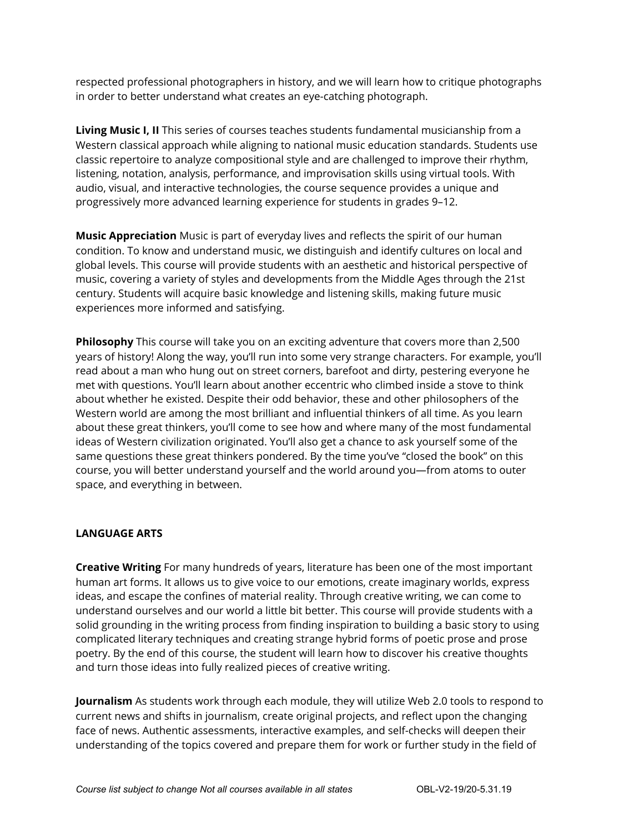respected professional photographers in history, and we will learn how to critique photographs in order to better understand what creates an eye-catching photograph.

**Living Music I, II** This series of courses teaches students fundamental musicianship from a Western classical approach while aligning to national music education standards. Students use classic repertoire to analyze compositional style and are challenged to improve their rhythm, listening, notation, analysis, performance, and improvisation skills using virtual tools. With audio, visual, and interactive technologies, the course sequence provides a unique and progressively more advanced learning experience for students in grades 9–12.

**Music Appreciation** Music is part of everyday lives and reflects the spirit of our human condition. To know and understand music, we distinguish and identify cultures on local and global levels. This course will provide students with an aesthetic and historical perspective of music, covering a variety of styles and developments from the Middle Ages through the 21st century. Students will acquire basic knowledge and listening skills, making future music experiences more informed and satisfying.

**Philosophy** This course will take you on an exciting adventure that covers more than 2,500 years of history! Along the way, you'll run into some very strange characters. For example, you'll read about a man who hung out on street corners, barefoot and dirty, pestering everyone he met with questions. You'll learn about another eccentric who climbed inside a stove to think about whether he existed. Despite their odd behavior, these and other philosophers of the Western world are among the most brilliant and influential thinkers of all time. As you learn about these great thinkers, you'll come to see how and where many of the most fundamental ideas of Western civilization originated. You'll also get a chance to ask yourself some of the same questions these great thinkers pondered. By the time you've "closed the book" on this course, you will better understand yourself and the world around you—from atoms to outer space, and everything in between.

#### **LANGUAGE ARTS**

**Creative Writing** For many hundreds of years, literature has been one of the most important human art forms. It allows us to give voice to our emotions, create imaginary worlds, express ideas, and escape the confines of material reality. Through creative writing, we can come to understand ourselves and our world a little bit better. This course will provide students with a solid grounding in the writing process from finding inspiration to building a basic story to using complicated literary techniques and creating strange hybrid forms of poetic prose and prose poetry. By the end of this course, the student will learn how to discover his creative thoughts and turn those ideas into fully realized pieces of creative writing.

**Journalism** As students work through each module, they will utilize Web 2.0 tools to respond to current news and shifts in journalism, create original projects, and reflect upon the changing face of news. Authentic assessments, interactive examples, and self-checks will deepen their understanding of the topics covered and prepare them for work or further study in the field of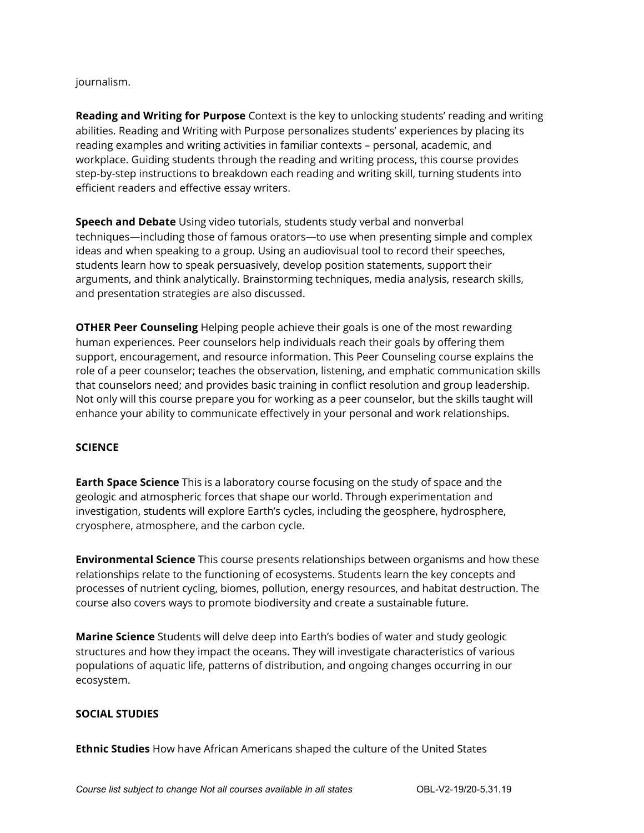#### journalism.

**Reading and Writing for Purpose** Context is the key to unlocking students' reading and writing abilities. Reading and Writing with Purpose personalizes students' experiences by placing its reading examples and writing activities in familiar contexts – personal, academic, and workplace. Guiding students through the reading and writing process, this course provides step-by-step instructions to breakdown each reading and writing skill, turning students into efficient readers and effective essay writers.

**Speech and Debate** Using video tutorials, students study verbal and nonverbal techniques—including those of famous orators—to use when presenting simple and complex ideas and when speaking to a group. Using an audiovisual tool to record their speeches, students learn how to speak persuasively, develop position statements, support their arguments, and think analytically. Brainstorming techniques, media analysis, research skills, and presentation strategies are also discussed.

**OTHER Peer Counseling** Helping people achieve their goals is one of the most rewarding human experiences. Peer counselors help individuals reach their goals by offering them support, encouragement, and resource information. This Peer Counseling course explains the role of a peer counselor; teaches the observation, listening, and emphatic communication skills that counselors need; and provides basic training in conflict resolution and group leadership. Not only will this course prepare you for working as a peer counselor, but the skills taught will enhance your ability to communicate effectively in your personal and work relationships.

#### **SCIENCE**

**Earth Space Science** This is a laboratory course focusing on the study of space and the geologic and atmospheric forces that shape our world. Through experimentation and investigation, students will explore Earth's cycles, including the geosphere, hydrosphere, cryosphere, atmosphere, and the carbon cycle.

**Environmental Science** This course presents relationships between organisms and how these relationships relate to the functioning of ecosystems. Students learn the key concepts and processes of nutrient cycling, biomes, pollution, energy resources, and habitat destruction. The course also covers ways to promote biodiversity and create a sustainable future.

**Marine Science** Students will delve deep into Earth's bodies of water and study geologic structures and how they impact the oceans. They will investigate characteristics of various populations of aquatic life, patterns of distribution, and ongoing changes occurring in our ecosystem.

#### **SOCIAL STUDIES**

**Ethnic Studies** How have African Americans shaped the culture of the United States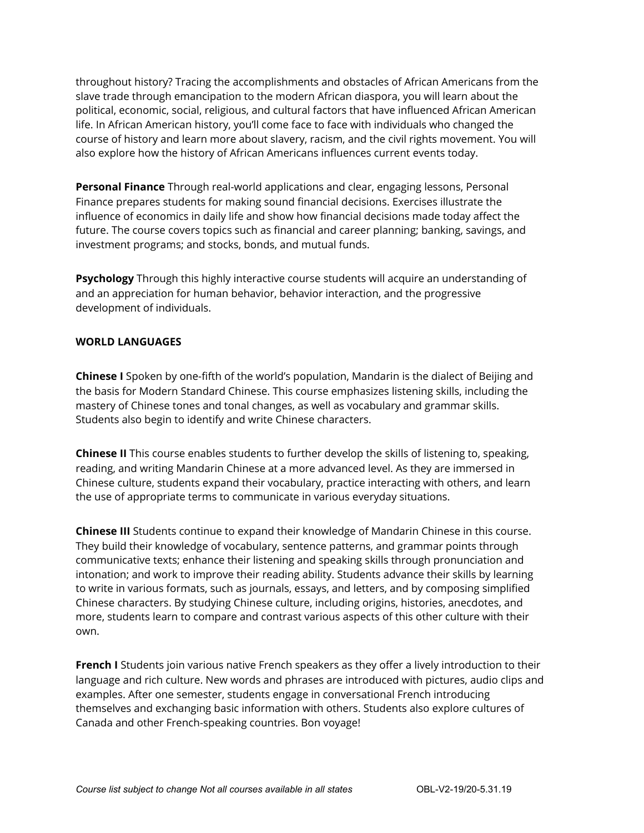throughout history? Tracing the accomplishments and obstacles of African Americans from the slave trade through emancipation to the modern African diaspora, you will learn about the political, economic, social, religious, and cultural factors that have influenced African American life. In African American history, you'll come face to face with individuals who changed the course of history and learn more about slavery, racism, and the civil rights movement. You will also explore how the history of African Americans influences current events today.

**Personal Finance** Through real-world applications and clear, engaging lessons, Personal Finance prepares students for making sound financial decisions. Exercises illustrate the influence of economics in daily life and show how financial decisions made today affect the future. The course covers topics such as financial and career planning; banking, savings, and investment programs; and stocks, bonds, and mutual funds.

**Psychology** Through this highly interactive course students will acquire an understanding of and an appreciation for human behavior, behavior interaction, and the progressive development of individuals.

#### **WORLD LANGUAGES**

**Chinese I** Spoken by one-fifth of the world's population, Mandarin is the dialect of Beijing and the basis for Modern Standard Chinese. This course emphasizes listening skills, including the mastery of Chinese tones and tonal changes, as well as vocabulary and grammar skills. Students also begin to identify and write Chinese characters.

**Chinese II** This course enables students to further develop the skills of listening to, speaking, reading, and writing Mandarin Chinese at a more advanced level. As they are immersed in Chinese culture, students expand their vocabulary, practice interacting with others, and learn the use of appropriate terms to communicate in various everyday situations.

**Chinese III** Students continue to expand their knowledge of Mandarin Chinese in this course. They build their knowledge of vocabulary, sentence patterns, and grammar points through communicative texts; enhance their listening and speaking skills through pronunciation and intonation; and work to improve their reading ability. Students advance their skills by learning to write in various formats, such as journals, essays, and letters, and by composing simplified Chinese characters. By studying Chinese culture, including origins, histories, anecdotes, and more, students learn to compare and contrast various aspects of this other culture with their own.

**French I** Students join various native French speakers as they offer a lively introduction to their language and rich culture. New words and phrases are introduced with pictures, audio clips and examples. After one semester, students engage in conversational French introducing themselves and exchanging basic information with others. Students also explore cultures of Canada and other French-speaking countries. Bon voyage!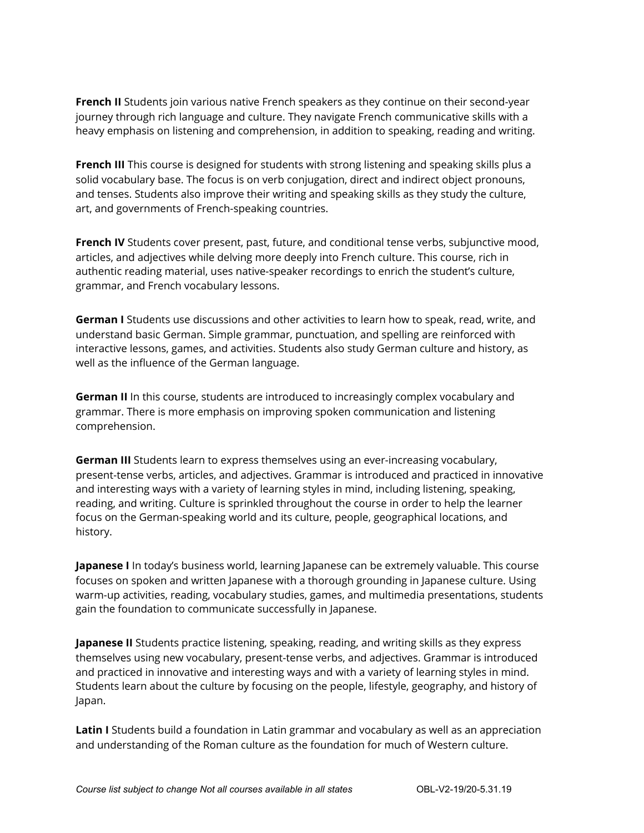**French II** Students join various native French speakers as they continue on their second-year journey through rich language and culture. They navigate French communicative skills with a heavy emphasis on listening and comprehension, in addition to speaking, reading and writing.

**French III** This course is designed for students with strong listening and speaking skills plus a solid vocabulary base. The focus is on verb conjugation, direct and indirect object pronouns, and tenses. Students also improve their writing and speaking skills as they study the culture, art, and governments of French-speaking countries.

**French IV** Students cover present, past, future, and conditional tense verbs, subjunctive mood, articles, and adjectives while delving more deeply into French culture. This course, rich in authentic reading material, uses native-speaker recordings to enrich the student's culture, grammar, and French vocabulary lessons.

**German I** Students use discussions and other activities to learn how to speak, read, write, and understand basic German. Simple grammar, punctuation, and spelling are reinforced with interactive lessons, games, and activities. Students also study German culture and history, as well as the influence of the German language.

**German II** In this course, students are introduced to increasingly complex vocabulary and grammar. There is more emphasis on improving spoken communication and listening comprehension.

**German III** Students learn to express themselves using an ever-increasing vocabulary, present-tense verbs, articles, and adjectives. Grammar is introduced and practiced in innovative and interesting ways with a variety of learning styles in mind, including listening, speaking, reading, and writing. Culture is sprinkled throughout the course in order to help the learner focus on the German-speaking world and its culture, people, geographical locations, and history.

**Japanese I** In today's business world, learning Japanese can be extremely valuable. This course focuses on spoken and written Japanese with a thorough grounding in Japanese culture. Using warm-up activities, reading, vocabulary studies, games, and multimedia presentations, students gain the foundation to communicate successfully in Japanese.

**Japanese II** Students practice listening, speaking, reading, and writing skills as they express themselves using new vocabulary, present-tense verbs, and adjectives. Grammar is introduced and practiced in innovative and interesting ways and with a variety of learning styles in mind. Students learn about the culture by focusing on the people, lifestyle, geography, and history of Japan.

**Latin I** Students build a foundation in Latin grammar and vocabulary as well as an appreciation and understanding of the Roman culture as the foundation for much of Western culture.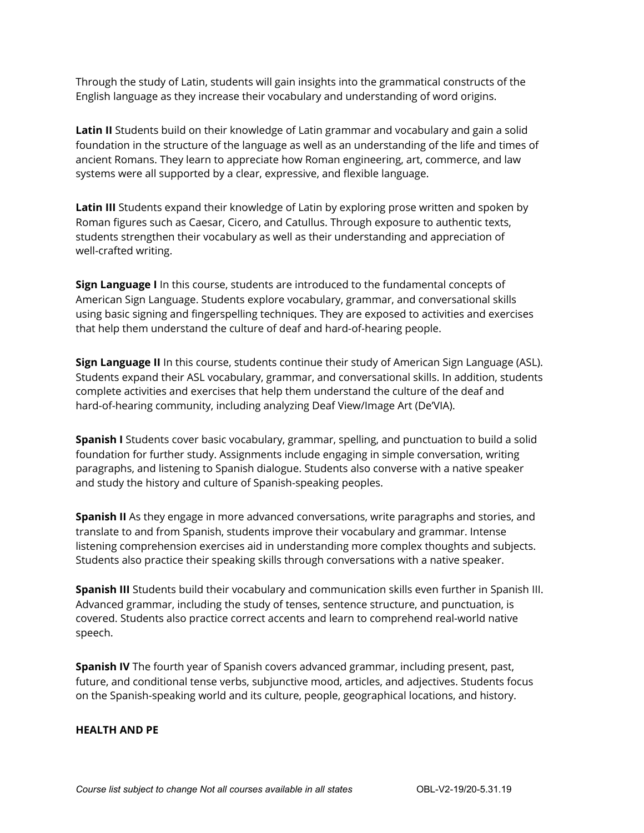Through the study of Latin, students will gain insights into the grammatical constructs of the English language as they increase their vocabulary and understanding of word origins.

**Latin II** Students build on their knowledge of Latin grammar and vocabulary and gain a solid foundation in the structure of the language as well as an understanding of the life and times of ancient Romans. They learn to appreciate how Roman engineering, art, commerce, and law systems were all supported by a clear, expressive, and flexible language.

**Latin III** Students expand their knowledge of Latin by exploring prose written and spoken by Roman figures such as Caesar, Cicero, and Catullus. Through exposure to authentic texts, students strengthen their vocabulary as well as their understanding and appreciation of well-crafted writing.

**Sign Language I** In this course, students are introduced to the fundamental concepts of American Sign Language. Students explore vocabulary, grammar, and conversational skills using basic signing and fingerspelling techniques. They are exposed to activities and exercises that help them understand the culture of deaf and hard-of-hearing people.

**Sign Language II** In this course, students continue their study of American Sign Language (ASL). Students expand their ASL vocabulary, grammar, and conversational skills. In addition, students complete activities and exercises that help them understand the culture of the deaf and hard-of-hearing community, including analyzing Deaf View/Image Art (De'VIA).

**Spanish I** Students cover basic vocabulary, grammar, spelling, and punctuation to build a solid foundation for further study. Assignments include engaging in simple conversation, writing paragraphs, and listening to Spanish dialogue. Students also converse with a native speaker and study the history and culture of Spanish-speaking peoples.

**Spanish II** As they engage in more advanced conversations, write paragraphs and stories, and translate to and from Spanish, students improve their vocabulary and grammar. Intense listening comprehension exercises aid in understanding more complex thoughts and subjects. Students also practice their speaking skills through conversations with a native speaker.

**Spanish III** Students build their vocabulary and communication skills even further in Spanish III. Advanced grammar, including the study of tenses, sentence structure, and punctuation, is covered. Students also practice correct accents and learn to comprehend real-world native speech.

**Spanish IV** The fourth year of Spanish covers advanced grammar, including present, past, future, and conditional tense verbs, subjunctive mood, articles, and adjectives. Students focus on the Spanish-speaking world and its culture, people, geographical locations, and history.

#### **HEALTH AND PE**